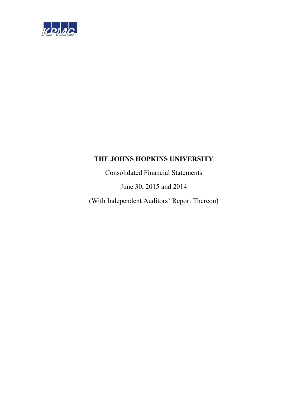

Consolidated Financial Statements

June 30, 2015 and 2014

(With Independent Auditors' Report Thereon)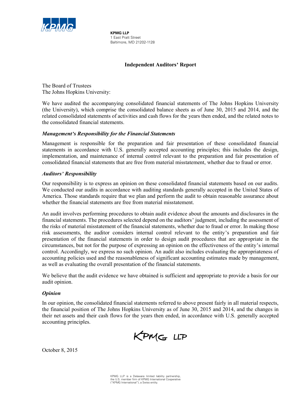

KPMG LLP 1 East Pratt Street Baltimore, MD 21202-1128

# **Independent Auditors Report**

The Board of Trustees The Johns Hopkins University:

We have audited the accompanying consolidated financial statements of The Johns Hopkins University (the University), which comprise the consolidated balance sheets as of June 30, 2015 and 2014, and the related consolidated statements of activities and cash flows for the years then ended, and the related notes to the consolidated financial statements.

# *Management s Responsibility for the Financial Statements*

Management is responsible for the preparation and fair presentation of these consolidated financial statements in accordance with U.S. generally accepted accounting principles; this includes the design, implementation, and maintenance of internal control relevant to the preparation and fair presentation of consolidated financial statements that are free from material misstatement, whether due to fraud or error.

# *Auditors Responsibility*

Our responsibility is to express an opinion on these consolidated financial statements based on our audits. We conducted our audits in accordance with auditing standards generally accepted in the United States of America. Those standards require that we plan and perform the audit to obtain reasonable assurance about whether the financial statements are free from material misstatement.

An audit involves performing procedures to obtain audit evidence about the amounts and disclosures in the financial statements. The procedures selected depend on the auditors judgment, including the assessment of the risks of material misstatement of the financial statements, whether due to fraud or error. In making those risk assessments, the auditor considers internal control relevant to the entity's preparation and fair presentation of the financial statements in order to design audit procedures that are appropriate in the circumstances, but not for the purpose of expressing an opinion on the effectiveness of the entity's internal control. Accordingly, we express no such opinion. An audit also includes evaluating the appropriateness of accounting policies used and the reasonableness of significant accounting estimates made by management, as well as evaluating the overall presentation of the financial statements.

We believe that the audit evidence we have obtained is sufficient and appropriate to provide a basis for our audit opinion.

# *Opinion*

In our opinion, the consolidated financial statements referred to above present fairly in all material respects, the financial position of The Johns Hopkins University as of June 30, 2015 and 2014, and the changes in their net assets and their cash flows for the years then ended, in accordance with U.S. generally accepted accounting principles.

KPMG LLP

October 8, 2015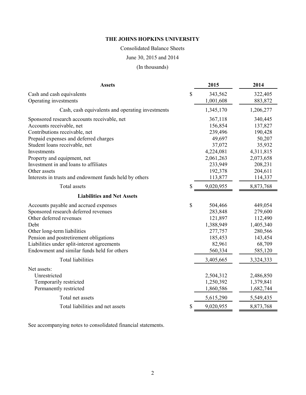# Consolidated Balance Sheets

June 30, 2015 and 2014

(In thousands)

| <b>Assets</b>                                          | 2015                       | 2014               |
|--------------------------------------------------------|----------------------------|--------------------|
| Cash and cash equivalents<br>Operating investments     | \$<br>343,562<br>1,001,608 | 322,405<br>883,872 |
| Cash, cash equivalents and operating investments       | 1,345,170                  | 1,206,277          |
| Sponsored research accounts receivable, net            | 367,118                    | 340,445            |
| Accounts receivable, net                               | 156,854                    | 137,827            |
| Contributions receivable, net                          | 239,496                    | 190,428            |
| Prepaid expenses and deferred charges                  | 49,697                     | 50,207             |
| Student loans receivable, net                          | 37,072                     | 35,932             |
| Investments                                            | 4,224,081                  | 4,311,815          |
| Property and equipment, net                            | 2,061,263                  | 2,073,658          |
| Investment in and loans to affiliates                  | 233,949                    | 208,231            |
| Other assets                                           | 192,378                    | 204,611            |
| Interests in trusts and endowment funds held by others | 113,877                    | 114,337            |
| Total assets                                           | \$<br>9,020,955            | 8,873,768          |
| <b>Liabilities and Net Assets</b>                      |                            |                    |
| Accounts payable and accrued expenses                  | \$<br>504,466              | 449,054            |
| Sponsored research deferred revenues                   | 283,848                    | 279,600            |
| Other deferred revenues                                | 121,897                    | 112,490            |
| Debt                                                   | 1,388,949                  | 1,405,340          |
| Other long-term liabilities                            | 277,757                    | 280,566            |
| Pension and postretirement obligations                 | 185,453                    | 143,454            |
| Liabilities under split-interest agreements            | 82,961                     | 68,709             |
| Endowment and similar funds held for others            | 560,334                    | 585,120            |
| <b>Total liabilities</b>                               | 3,405,665                  | 3,324,333          |
| Net assets:                                            |                            |                    |
| Unrestricted                                           | 2,504,312                  | 2,486,850          |
| Temporarily restricted                                 | 1,250,392                  | 1,379,841          |
| Permanently restricted                                 | 1,860,586                  | 1,682,744          |
| Total net assets                                       | 5,615,290                  | 5,549,435          |
| Total liabilities and net assets                       | \$<br>9,020,955            | 8,873,768          |

See accompanying notes to consolidated financial statements.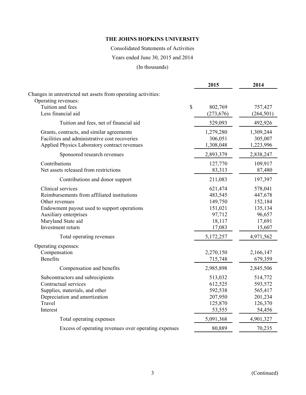Consolidated Statements of Activities

Years ended June 30, 2015 and 2014

(In thousands)

|                                                                                      |             | 2015       | 2014       |
|--------------------------------------------------------------------------------------|-------------|------------|------------|
| Changes in unrestricted net assets from operating activities:<br>Operating revenues: |             |            |            |
| Tuition and fees                                                                     | $\mathbf S$ | 802,769    | 757,427    |
| Less financial aid                                                                   |             | (273, 676) | (264, 501) |
| Tuition and fees, net of financial aid                                               |             | 529,093    | 492,926    |
| Grants, contracts, and similar agreements                                            |             | 1,279,280  | 1,309,244  |
| Facilities and administrative cost recoveries                                        |             | 306,051    | 305,007    |
| Applied Physics Laboratory contract revenues                                         |             | 1,308,048  | 1,223,996  |
| Sponsored research revenues                                                          |             | 2,893,379  | 2,838,247  |
| Contributions                                                                        |             | 127,770    | 109,917    |
| Net assets released from restrictions                                                |             | 83,313     | 87,480     |
| Contributions and donor support                                                      |             | 211,083    | 197,397    |
| Clinical services                                                                    |             | 621,474    | 578,041    |
| Reimbursements from affiliated institutions                                          |             | 483,545    | 447,678    |
| Other revenues                                                                       |             | 149,750    | 152,184    |
| Endowment payout used to support operations                                          |             | 151,021    | 135,134    |
| Auxiliary enterprises                                                                |             | 97,712     | 96,657     |
| Maryland State aid                                                                   |             | 18,117     | 17,691     |
| Investment return                                                                    |             | 17,083     | 15,607     |
| Total operating revenues                                                             |             | 5,172,257  | 4,971,562  |
| Operating expenses:                                                                  |             |            |            |
| Compensation                                                                         |             | 2,270,150  | 2,166,147  |
| <b>Benefits</b>                                                                      |             | 715,748    | 679,359    |
| Compensation and benefits                                                            |             | 2,985,898  | 2,845,506  |
| Subcontractors and subrecipients                                                     |             | 513,032    | 514,772    |
| Contractual services                                                                 |             | 612,525    | 593,572    |
| Supplies, materials, and other                                                       |             | 592,538    | 565,417    |
| Depreciation and amortization                                                        |             | 207,950    | 201,234    |
| Travel                                                                               |             | 125,870    | 126,370    |
| Interest                                                                             |             | 53,555     | 54,456     |
| Total operating expenses                                                             |             | 5,091,368  | 4,901,327  |
| Excess of operating revenues over operating expenses                                 |             | 80,889     | 70,235     |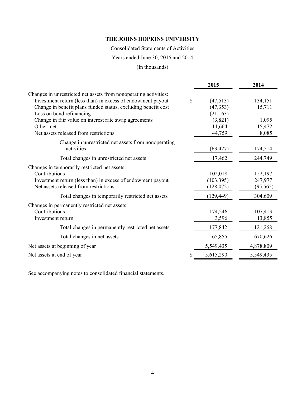Consolidated Statements of Activities

Years ended June 30, 2015 and 2014

(In thousands)

|                                                                  | 2015           | 2014      |
|------------------------------------------------------------------|----------------|-----------|
| Changes in unrestricted net assets from nonoperating activities: |                |           |
| Investment return (less than) in excess of endowment payout      | \$<br>(47,513) | 134,151   |
| Change in benefit plans funded status, excluding benefit cost    | (47, 353)      | 15,711    |
| Loss on bond refinancing                                         | (21, 163)      |           |
| Change in fair value on interest rate swap agreements            | (3,821)        | 1,095     |
| Other, net                                                       | 11,664         | 15,472    |
| Net assets released from restrictions                            | 44,759         | 8,085     |
| Change in unrestricted net assets from nonoperating              |                |           |
| activities                                                       | (63, 427)      | 174,514   |
| Total changes in unrestricted net assets                         | 17,462         | 244,749   |
| Changes in temporarily restricted net assets:                    |                |           |
| Contributions                                                    | 102,018        | 152,197   |
| Investment return (less than) in excess of endowment payout      | (103, 395)     | 247,977   |
| Net assets released from restrictions                            | (128, 072)     | (95, 565) |
| Total changes in temporarily restricted net assets               | (129, 449)     | 304,609   |
| Changes in permanently restricted net assets:                    |                |           |
| Contributions                                                    | 174,246        | 107,413   |
| Investment return                                                | 3,596          | 13,855    |
| Total changes in permanently restricted net assets               | 177,842        | 121,268   |
| Total changes in net assets                                      | 65,855         | 670,626   |
| Net assets at beginning of year                                  | 5,549,435      | 4,878,809 |
| Net assets at end of year                                        | 5,615,290      | 5,549,435 |

See accompanying notes to consolidated financial statements.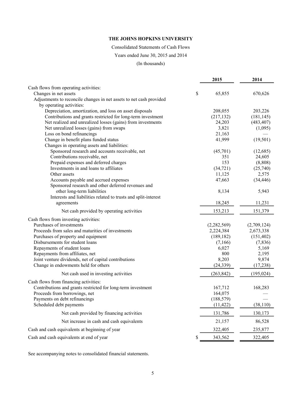Consolidated Statements of Cash Flows

Years ended June 30, 2015 and 2014

(In thousands)

|                                                                     | 2015          | 2014        |
|---------------------------------------------------------------------|---------------|-------------|
| Cash flows from operating activities:                               |               |             |
| Changes in net assets                                               | \$<br>65,855  | 670,626     |
| Adjustments to reconcile changes in net assets to net cash provided |               |             |
| by operating activities:                                            |               |             |
| Depreciation, amortization, and loss on asset disposals             | 208,055       | 203,226     |
| Contributions and grants restricted for long-term investment        | (217, 132)    | (181, 145)  |
| Net realized and unrealized losses (gains) from investments         | 24,203        | (483, 407)  |
| Net unrealized losses (gains) from swaps                            | 3,821         | (1,095)     |
| Loss on bond refinancings                                           | 21,163        |             |
| Change in benefit plans funded status                               | 41,999        | (19, 501)   |
| Changes in operating assets and liabilities:                        |               |             |
| Sponsored research and accounts receivable, net                     | (45,701)      | (12,685)    |
| Contributions receivable, net                                       | 351           | 24,605      |
| Prepaid expenses and deferred charges                               | 153           | (8,808)     |
| Investments in and loans to affiliates                              | (34, 721)     | (25,740)    |
| Other assets                                                        | 11,125        | 2,575       |
| Accounts payable and accrued expenses                               | 47,663        | (34, 446)   |
| Sponsored research and other deferred revenues and                  |               |             |
| other long-term liabilities                                         | 8,134         | 5,943       |
| Interests and liabilities related to trusts and split-interest      |               |             |
| agreements                                                          | 18,245        | 11,231      |
| Net cash provided by operating activities                           | 153,213       | 151,379     |
| Cash flows from investing activities:                               |               |             |
| Purchases of investments                                            | (2,282,569)   | (2,709,124) |
| Proceeds from sales and maturities of investments                   | 2,224,384     | 2,673,338   |
| Purchases of property and equipment                                 | (189, 182)    | (151, 402)  |
| Disbursements for student loans                                     | (7,166)       | (7,836)     |
| Repayments of student loans                                         | 6,027         | 5,169       |
| Repayments from affiliates, net                                     | 800           | 2,195       |
| Joint venture dividends, net of capital contributions               | 8,203         | 9,874       |
| Change in endowments held for others                                | (24, 339)     | (17, 238)   |
| Net cash used in investing activities                               | (263, 842)    | (195, 024)  |
| Cash flows from financing activities:                               |               |             |
| Contributions and grants restricted for long-term investment        | 167,712       | 168,283     |
| Proceeds from borrowings, net                                       | 164,075       |             |
| Payments on debt refinancings                                       | (188, 579)    |             |
| Scheduled debt payments                                             | (11, 422)     | (38, 110)   |
| Net cash provided by financing activities                           | 131,786       | 130,173     |
| Net increase in cash and cash equivalents                           | 21,157        | 86,528      |
| Cash and cash equivalents at beginning of year                      | 322,405       | 235,877     |
| Cash and cash equivalents at end of year                            | \$<br>343,562 | 322,405     |

See accompanying notes to consolidated financial statements.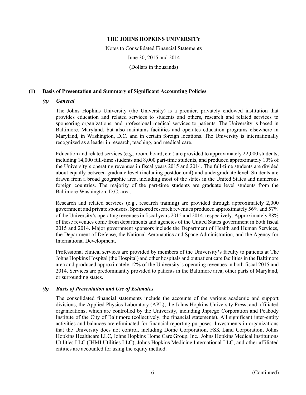Notes to Consolidated Financial Statements June 30, 2015 and 2014 (Dollars in thousands)

#### **(1) Basis of Presentation and Summary of Significant Accounting Policies**

#### *(a) General*

The Johns Hopkins University (the University) is a premier, privately endowed institution that provides education and related services to students and others, research and related services to sponsoring organizations, and professional medical services to patients. The University is based in Baltimore, Maryland, but also maintains facilities and operates education programs elsewhere in Maryland, in Washington, D.C. and in certain foreign locations. The University is internationally recognized as a leader in research, teaching, and medical care.

Education and related services (e.g., room, board, etc.) are provided to approximately 22,000 students, including 14,000 full-time students and 8,000 part-time students, and produced approximately 10% of the University s operating revenues in fiscal years 2015 and 2014. The full-time students are divided about equally between graduate level (including postdoctoral) and undergraduate level. Students are drawn from a broad geographic area, including most of the states in the United States and numerous foreign countries. The majority of the part-time students are graduate level students from the Baltimore-Washington, D.C. area.

Research and related services (e.g., research training) are provided through approximately 2,000 government and private sponsors. Sponsored research revenues produced approximately 56% and 57% of the University s operating revenues in fiscal years 2015 and 2014, respectively. Approximately 88% of these revenues come from departments and agencies of the United States government in both fiscal 2015 and 2014. Major government sponsors include the Department of Health and Human Services, the Department of Defense, the National Aeronautics and Space Administration, and the Agency for International Development.

Professional clinical services are provided by members of the University's faculty to patients at The Johns Hopkins Hospital (the Hospital) and other hospitals and outpatient care facilities in the Baltimore area and produced approximately 12% of the University's operating revenues in both fiscal 2015 and 2014. Services are predominantly provided to patients in the Baltimore area, other parts of Maryland, or surrounding states.

# *(b) Basis of Presentation and Use of Estimates*

The consolidated financial statements include the accounts of the various academic and support divisions, the Applied Physics Laboratory (APL), the Johns Hopkins University Press, and affiliated organizations, which are controlled by the University, including Jhpiego Corporation and Peabody Institute of the City of Baltimore (collectively, the financial statements). All significant inter-entity activities and balances are eliminated for financial reporting purposes. Investments in organizations that the University does not control, including Dome Corporation, FSK Land Corporation, Johns Hopkins Healthcare LLC, Johns Hopkins Home Care Group, Inc., Johns Hopkins Medical Institutions Utilities LLC (JHMI Utilities LLC), Johns Hopkins Medicine International LLC, and other affiliated entities are accounted for using the equity method.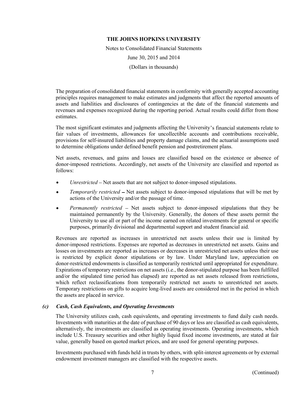Notes to Consolidated Financial Statements June 30, 2015 and 2014 (Dollars in thousands)

The preparation of consolidated financial statements in conformity with generally accepted accounting principles requires management to make estimates and judgments that affect the reported amounts of assets and liabilities and disclosures of contingencies at the date of the financial statements and revenues and expenses recognized during the reporting period. Actual results could differ from those estimates.

The most significant estimates and judgments affecting the University's financial statements relate to fair values of investments, allowances for uncollectible accounts and contributions receivable, provisions for self-insured liabilities and property damage claims, and the actuarial assumptions used to determine obligations under defined benefit pension and postretirement plans.

Net assets, revenues, and gains and losses are classified based on the existence or absence of donor-imposed restrictions. Accordingly, net assets of the University are classified and reported as follows:

- *Unrestricted* Net assets that are not subject to donor-imposed stipulations.
- *Temporarily restricted* Net assets subject to donor-imposed stipulations that will be met by actions of the University and/or the passage of time.
- *Permanently restricted* Net assets subject to donor-imposed stipulations that they be maintained permanently by the University. Generally, the donors of these assets permit the University to use all or part of the income earned on related investments for general or specific purposes, primarily divisional and departmental support and student financial aid.

Revenues are reported as increases in unrestricted net assets unless their use is limited by donor-imposed restrictions. Expenses are reported as decreases in unrestricted net assets. Gains and losses on investments are reported as increases or decreases in unrestricted net assets unless their use is restricted by explicit donor stipulations or by law. Under Maryland law, appreciation on donor-restricted endowments is classified as temporarily restricted until appropriated for expenditure. Expirations of temporary restrictions on net assets (i.e., the donor-stipulated purpose has been fulfilled and/or the stipulated time period has elapsed) are reported as net assets released from restrictions, which reflect reclassifications from temporarily restricted net assets to unrestricted net assets. Temporary restrictions on gifts to acquire long-lived assets are considered met in the period in which the assets are placed in service.

# *(c) Cash, Cash Equivalents, and Operating Investments*

The University utilizes cash, cash equivalents, and operating investments to fund daily cash needs. Investments with maturities at the date of purchase of 90 days or less are classified as cash equivalents, alternatively, the investments are classified as operating investments. Operating investments, which include U.S. Treasury securities and other highly liquid fixed income investments, are stated at fair value, generally based on quoted market prices, and are used for general operating purposes.

Investments purchased with funds held in trusts by others, with split-interest agreements or by external endowment investment managers are classified with the respective assets.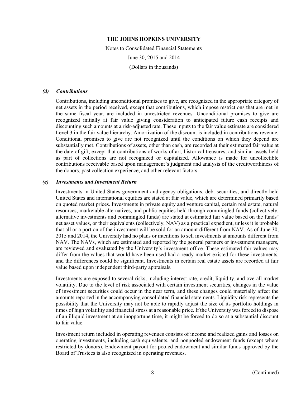Notes to Consolidated Financial Statements June 30, 2015 and 2014 (Dollars in thousands)

#### *(d) Contributions*

Contributions, including unconditional promises to give, are recognized in the appropriate category of net assets in the period received, except that contributions, which impose restrictions that are met in the same fiscal year, are included in unrestricted revenues. Unconditional promises to give are recognized initially at fair value giving consideration to anticipated future cash receipts and discounting such amounts at a risk-adjusted rate. These inputs to the fair value estimate are considered Level 3 in the fair value hierarchy. Amortization of the discount is included in contributions revenue. Conditional promises to give are not recognized until the conditions on which they depend are substantially met. Contributions of assets, other than cash, are recorded at their estimated fair value at the date of gift, except that contributions of works of art, historical treasures, and similar assets held as part of collections are not recognized or capitalized. Allowance is made for uncollectible contributions receivable based upon management's judgment and analysis of the creditworthiness of the donors, past collection experience, and other relevant factors.

#### *(e) Investments and Investment Return*

Investments in United States government and agency obligations, debt securities, and directly held United States and international equities are stated at fair value, which are determined primarily based on quoted market prices. Investments in private equity and venture capital, certain real estate, natural resources, marketable alternatives, and public equities held through commingled funds (collectively, alternative investments and commingled funds) are stated at estimated fair value based on the funds net asset values, or their equivalents (collectively, NAV) as a practical expedient, unless it is probable that all or a portion of the investment will be sold for an amount different from NAV. As of June 30, 2015 and 2014, the University had no plans or intentions to sell investments at amounts different from NAV. The NAVs, which are estimated and reported by the general partners or investment managers, are reviewed and evaluated by the University's investment office. These estimated fair values may differ from the values that would have been used had a ready market existed for these investments, and the differences could be significant. Investments in certain real estate assets are recorded at fair value based upon independent third-party appraisals.

Investments are exposed to several risks, including interest rate, credit, liquidity, and overall market volatility. Due to the level of risk associated with certain investment securities, changes in the value of investment securities could occur in the near term, and these changes could materially affect the amounts reported in the accompanying consolidated financial statements. Liquidity risk represents the possibility that the University may not be able to rapidly adjust the size of its portfolio holdings in times of high volatility and financial stress at a reasonable price. If the University was forced to dispose of an illiquid investment at an inopportune time, it might be forced to do so at a substantial discount to fair value.

Investment return included in operating revenues consists of income and realized gains and losses on operating investments, including cash equivalents, and nonpooled endowment funds (except where restricted by donors). Endowment payout for pooled endowment and similar funds approved by the Board of Trustees is also recognized in operating revenues.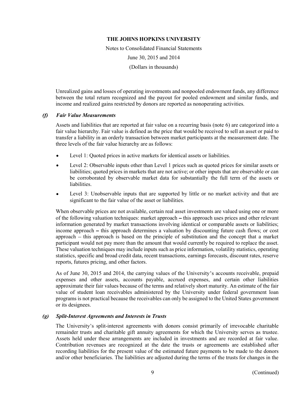Notes to Consolidated Financial Statements June 30, 2015 and 2014

(Dollars in thousands)

Unrealized gains and losses of operating investments and nonpooled endowment funds, any difference between the total return recognized and the payout for pooled endowment and similar funds, and income and realized gains restricted by donors are reported as nonoperating activities.

### *(f) Fair Value Measurements*

Assets and liabilities that are reported at fair value on a recurring basis (note 6) are categorized into a fair value hierarchy. Fair value is defined as the price that would be received to sell an asset or paid to transfer a liability in an orderly transaction between market participants at the measurement date. The three levels of the fair value hierarchy are as follows:

- Level 1: Quoted prices in active markets for identical assets or liabilities.
- Level 2: Observable inputs other than Level 1 prices such as quoted prices for similar assets or  $\bullet$ liabilities; quoted prices in markets that are not active; or other inputs that are observable or can be corroborated by observable market data for substantially the full term of the assets or liabilities.
- Level 3: Unobservable inputs that are supported by little or no market activity and that are significant to the fair value of the asset or liabilities.

When observable prices are not available, certain real asset investments are valued using one or more of the following valuation techniques: market approach – this approach uses prices and other relevant information generated by market transactions involving identical or comparable assets or liabilities; income approach – this approach determines a valuation by discounting future cash flows; or cost approach  $-$  this approach is based on the principle of substitution and the concept that a market participant would not pay more than the amount that would currently be required to replace the asset. These valuation techniques may include inputs such as price information, volatility statistics, operating statistics, specific and broad credit data, recent transactions, earnings forecasts, discount rates, reserve reports, futures pricing, and other factors.

As of June 30, 2015 and 2014, the carrying values of the University's accounts receivable, prepaid expenses and other assets, accounts payable, accrued expenses, and certain other liabilities approximate their fair values because of the terms and relatively short maturity. An estimate of the fair value of student loan receivables administered by the University under federal government loan programs is not practical because the receivables can only be assigned to the United States government or its designees.

#### *(g) Split-Interest Agreements and Interests in Trusts*

The University's split-interest agreements with donors consist primarily of irrevocable charitable remainder trusts and charitable gift annuity agreements for which the University serves as trustee. Assets held under these arrangements are included in investments and are recorded at fair value. Contribution revenues are recognized at the date the trusts or agreements are established after recording liabilities for the present value of the estimated future payments to be made to the donors and/or other beneficiaries. The liabilities are adjusted during the terms of the trusts for changes in the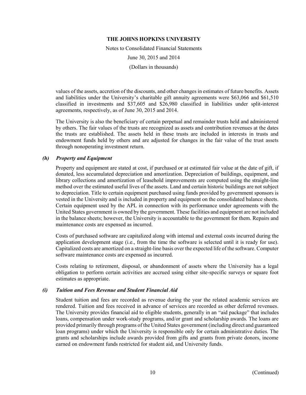Notes to Consolidated Financial Statements June 30, 2015 and 2014 (Dollars in thousands)

values of the assets, accretion of the discounts, and other changes in estimates of future benefits. Assets and liabilities under the University's charitable gift annuity agreements were \$63,066 and \$61,510 classified in investments and \$37,605 and \$26,980 classified in liabilities under split-interest agreements, respectively, as of June 30, 2015 and 2014.

The University is also the beneficiary of certain perpetual and remainder trusts held and administered by others. The fair values of the trusts are recognized as assets and contribution revenues at the dates the trusts are established. The assets held in these trusts are included in interests in trusts and endowment funds held by others and are adjusted for changes in the fair value of the trust assets through nonoperating investment return.

### *(h) Property and Equipment*

Property and equipment are stated at cost, if purchased or at estimated fair value at the date of gift, if donated, less accumulated depreciation and amortization. Depreciation of buildings, equipment, and library collections and amortization of leasehold improvements are computed using the straight-line method over the estimated useful lives of the assets. Land and certain historic buildings are not subject to depreciation. Title to certain equipment purchased using funds provided by government sponsors is vested in the University and is included in property and equipment on the consolidated balance sheets. Certain equipment used by the APL in connection with its performance under agreements with the United States government is owned by the government. These facilities and equipment are not included in the balance sheets; however, the University is accountable to the government for them. Repairs and maintenance costs are expensed as incurred.

Costs of purchased software are capitalized along with internal and external costs incurred during the application development stage (i.e., from the time the software is selected until it is ready for use). Capitalized costs are amortized on a straight-line basis over the expected life of the software. Computer software maintenance costs are expensed as incurred.

Costs relating to retirement, disposal, or abandonment of assets where the University has a legal obligation to perform certain activities are accrued using either site-specific surveys or square foot estimates as appropriate.

# *(i) Tuition and Fees Revenue and Student Financial Aid*

Student tuition and fees are recorded as revenue during the year the related academic services are rendered. Tuition and fees received in advance of services are recorded as other deferred revenues. The University provides financial aid to eligible students, generally in an "aid package" that includes loans, compensation under work-study programs, and/or grant and scholarship awards. The loans are provided primarily through programs of the United States government (including direct and guaranteed loan programs) under which the University is responsible only for certain administrative duties. The grants and scholarships include awards provided from gifts and grants from private donors, income earned on endowment funds restricted for student aid, and University funds.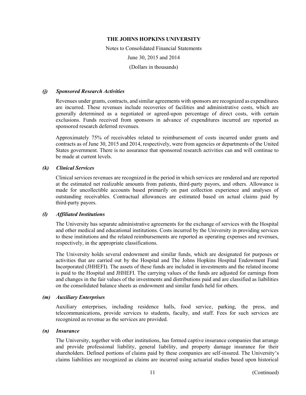Notes to Consolidated Financial Statements June 30, 2015 and 2014 (Dollars in thousands)

#### *(j) Sponsored Research Activities*

Revenues under grants, contracts, and similar agreements with sponsors are recognized as expenditures are incurred. These revenues include recoveries of facilities and administrative costs, which are generally determined as a negotiated or agreed-upon percentage of direct costs, with certain exclusions. Funds received from sponsors in advance of expenditures incurred are reported as sponsored research deferred revenues.

Approximately 75% of receivables related to reimbursement of costs incurred under grants and contracts as of June 30, 2015 and 2014, respectively, were from agencies or departments of the United States government. There is no assurance that sponsored research activities can and will continue to be made at current levels.

# *(k) Clinical Services*

Clinical services revenues are recognized in the period in which services are rendered and are reported at the estimated net realizable amounts from patients, third-party payors, and others. Allowance is made for uncollectible accounts based primarily on past collection experience and analyses of outstanding receivables. Contractual allowances are estimated based on actual claims paid by third-party payors.

# *(l) Affiliated Institutions*

The University has separate administrative agreements for the exchange of services with the Hospital and other medical and educational institutions. Costs incurred by the University in providing services to these institutions and the related reimbursements are reported as operating expenses and revenues, respectively, in the appropriate classifications.

The University holds several endowment and similar funds, which are designated for purposes or activities that are carried out by the Hospital and The Johns Hopkins Hospital Endowment Fund Incorporated (JHHEFI). The assets of these funds are included in investments and the related income is paid to the Hospital and JHHEFI. The carrying values of the funds are adjusted for earnings from and changes in the fair values of the investments and distributions paid and are classified as liabilities on the consolidated balance sheets as endowment and similar funds held for others.

#### *(m) Auxiliary Enterprises*

Auxiliary enterprises, including residence halls, food service, parking, the press, and telecommunications, provide services to students, faculty, and staff. Fees for such services are recognized as revenue as the services are provided.

#### *(n) Insurance*

The University, together with other institutions, has formed captive insurance companies that arrange and provide professional liability, general liability, and property damage insurance for their shareholders. Defined portions of claims paid by these companies are self-insured. The University's claims liabilities are recognized as claims are incurred using actuarial studies based upon historical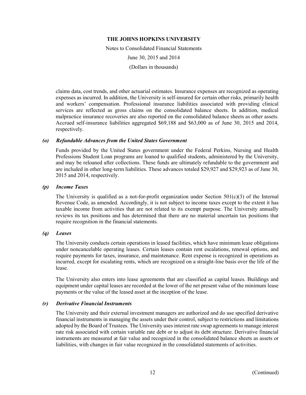Notes to Consolidated Financial Statements

June 30, 2015 and 2014

(Dollars in thousands)

claims data, cost trends, and other actuarial estimates. Insurance expenses are recognized as operating expenses as incurred. In addition, the University is self-insured for certain other risks, primarily health and workers' compensation. Professional insurance liabilities associated with providing clinical services are reflected as gross claims on the consolidated balance sheets. In addition, medical malpractice insurance recoveries are also reported on the consolidated balance sheets as other assets. Accrued self-insurance liabilities aggregated \$69,188 and \$63,000 as of June 30, 2015 and 2014, respectively.

#### *(o) Refundable Advances from the United States Government*

Funds provided by the United States government under the Federal Perkins, Nursing and Health Professions Student Loan programs are loaned to qualified students, administered by the University, and may be reloaned after collections. These funds are ultimately refundable to the government and are included in other long-term liabilities. These advances totaled \$29,927 and \$29,923 as of June 30, 2015 and 2014, respectively.

#### *(p) Income Taxes*

The University is qualified as a not-for-profit organization under Section  $501(c)(3)$  of the Internal Revenue Code, as amended. Accordingly, it is not subject to income taxes except to the extent it has taxable income from activities that are not related to its exempt purpose. The University annually reviews its tax positions and has determined that there are no material uncertain tax positions that require recognition in the financial statements.

# *(q) Leases*

The University conducts certain operations in leased facilities, which have minimum lease obligations under noncancelable operating leases. Certain leases contain rent escalations, renewal options, and require payments for taxes, insurance, and maintenance. Rent expense is recognized in operations as incurred, except for escalating rents, which are recognized on a straight-line basis over the life of the lease.

The University also enters into lease agreements that are classified as capital leases. Buildings and equipment under capital leases are recorded at the lower of the net present value of the minimum lease payments or the value of the leased asset at the inception of the lease.

#### *(r) Derivative Financial Instruments*

The University and their external investment managers are authorized and do use specified derivative financial instruments in managing the assets under their control, subject to restrictions and limitations adopted by the Board of Trustees. The University uses interest rate swap agreements to manage interest rate risk associated with certain variable rate debt or to adjust its debt structure. Derivative financial instruments are measured at fair value and recognized in the consolidated balance sheets as assets or liabilities, with changes in fair value recognized in the consolidated statements of activities.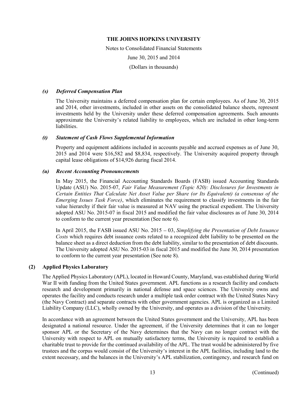Notes to Consolidated Financial Statements June 30, 2015 and 2014 (Dollars in thousands)

#### *(s) Deferred Compensation Plan*

The University maintains a deferred compensation plan for certain employees. As of June 30, 2015 and 2014, other investments, included in other assets on the consolidated balance sheets, represent investments held by the University under these deferred compensation agreements. Such amounts approximate the University s related liability to employees, which are included in other long-term liabilities.

### *(t) Statement of Cash Flows Supplemental Information*

Property and equipment additions included in accounts payable and accrued expenses as of June 30, 2015 and 2014 were \$16,582 and \$8,834, respectively. The University acquired property through capital lease obligations of \$14,926 during fiscal 2014.

### *(u) Recent Accounting Pronouncements*

In May 2015, the Financial Accounting Standards Boards (FASB) issued Accounting Standards Update (ASU) No. 2015-07, *Fair Value Measurement (Topic 820): Disclosures for Investments in Certain Entities That Calculate Net Asset Value per Share (or Its Equivalent) (a consensus of the Emerging Issues Task Force)*, which eliminates the requirement to classify investments in the fair value hierarchy if their fair value is measured at NAV using the practical expedient. The University adopted ASU No. 2015-07 in fiscal 2015 and modified the fair value disclosures as of June 30, 2014 to conform to the current year presentation (See note 6).

In April 2015, the FASB issued ASU No. 2015 – 03, *Simplifying the Presentation of Debt Issuance Costs* which requires debt issuance costs related to a recognized debt liability to be presented on the balance sheet as a direct deduction from the debt liability, similar to the presentation of debt discounts. The University adopted ASU No. 2015-03 in fiscal 2015 and modified the June 30, 2014 presentation to conform to the current year presentation (See note 8).

# **(2) Applied Physics Laboratory**

The Applied Physics Laboratory (APL), located in Howard County, Maryland, was established during World War II with funding from the United States government. APL functions as a research facility and conducts research and development primarily in national defense and space sciences. The University owns and operates the facility and conducts research under a multiple task order contract with the United States Navy (the Navy Contract) and separate contracts with other government agencies. APL is organized as a Limited Liability Company (LLC), wholly owned by the University, and operates as a division of the University.

In accordance with an agreement between the United States government and the University, APL has been designated a national resource. Under the agreement, if the University determines that it can no longer sponsor APL or the Secretary of the Navy determines that the Navy can no longer contract with the University with respect to APL on mutually satisfactory terms, the University is required to establish a charitable trust to provide for the continued availability of the APL. The trust would be administered by five trustees and the corpus would consist of the University's interest in the APL facilities, including land to the extent necessary, and the balances in the University s APL stabilization, contingency, and research fund on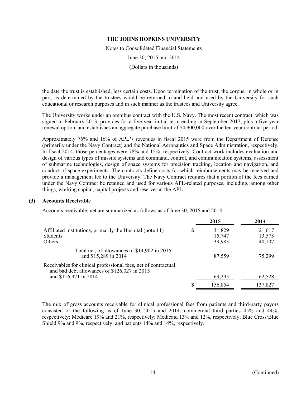Notes to Consolidated Financial Statements

June 30, 2015 and 2014

(Dollars in thousands)

the date the trust is established, less certain costs. Upon termination of the trust, the corpus, in whole or in part, as determined by the trustees would be returned to and held and used by the University for such educational or research purposes and in such manner as the trustees and University agree.

The University works under an omnibus contract with the U.S. Navy. The most recent contract, which was signed in February 2013, provides for a five-year initial term ending in September 2017, plus a five-year renewal option, and establishes an aggregate purchase limit of \$4,900,000 over the ten-year contract period.

Approximately 76% and 16% of APL s revenues in fiscal 2015 were from the Department of Defense (primarily under the Navy Contract) and the National Aeronautics and Space Administration, respectively. In fiscal 2014, those percentages were 78% and 15%, respectively. Contract work includes evaluation and design of various types of missile systems and command, control, and communication systems, assessment of submarine technologies, design of space systems for precision tracking, location and navigation, and conduct of space experiments. The contracts define costs for which reimbursements may be received and provide a management fee to the University. The Navy Contract requires that a portion of the fees earned under the Navy Contract be retained and used for various APL-related purposes, including, among other things, working capital, capital projects and reserves at the APL.

#### **(3) Accounts Receivable**

Accounts receivable, net are summarized as follows as of June 30, 2015 and 2014:

|                                                                                                                                         |   | 2015                       | 2014                       |
|-----------------------------------------------------------------------------------------------------------------------------------------|---|----------------------------|----------------------------|
| Affiliated institutions, primarily the Hospital (note 11)<br><b>Students</b><br>Others                                                  | S | 31,829<br>15,747<br>39,983 | 21,617<br>13,575<br>40,107 |
| Total net, of allowances of \$14,902 in 2015<br>and \$15,289 in 2014                                                                    |   | 87,559                     | 75,299                     |
| Receivables for clinical professional fees, net of contractual<br>and bad debt allowances of \$126,027 in 2015<br>and \$116,921 in 2014 |   | 69,295                     | 62,528                     |
|                                                                                                                                         |   | 156,854                    | 137,827                    |

The mix of gross accounts receivable for clinical professional fees from patients and third-party payors consisted of the following as of June 30, 2015 and 2014: commercial third parties 45% and 44%, respectively; Medicare 19% and 21%, respectively; Medicaid 13% and 12%, respectively; Blue Cross/Blue Shield 9% and 9%, respectively; and patients 14% and 14%, respectively.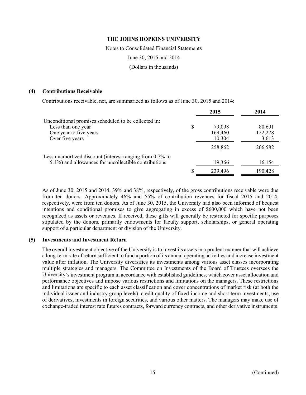Notes to Consolidated Financial Statements

June 30, 2015 and 2014

(Dollars in thousands)

#### **(4) Contributions Receivable**

Contributions receivable, net, are summarized as follows as of June 30, 2015 and 2014:

|                                                          | 2015         | 2014    |
|----------------------------------------------------------|--------------|---------|
| Unconditional promises scheduled to be collected in:     |              |         |
| Less than one year                                       | \$<br>79,098 | 80,691  |
| One year to five years                                   | 169,460      | 122,278 |
| Over five years                                          | 10,304       | 3,613   |
|                                                          | 258,862      | 206,582 |
| Less unamortized discount (interest ranging from 0.7% to |              |         |
| 5.1%) and allowances for uncollectible contributions     | 19,366       | 16,154  |
|                                                          | 239,496      | 190,428 |
|                                                          |              |         |

As of June 30, 2015 and 2014, 39% and 38%, respectively, of the gross contributions receivable were due from ten donors. Approximately 46% and 55% of contribution revenues for fiscal 2015 and 2014, respectively, were from ten donors. As of June 30, 2015, the University had also been informed of bequest intentions and conditional promises to give aggregating in excess of \$600,000 which have not been recognized as assets or revenues. If received, these gifts will generally be restricted for specific purposes stipulated by the donors, primarily endowments for faculty support, scholarships, or general operating support of a particular department or division of the University.

#### **(5) Investments and Investment Return**

The overall investment objective of the University is to invest its assets in a prudent manner that will achieve a long-term rate of return sufficient to fund a portion of its annual operating activities and increase investment value after inflation. The University diversifies its investments among various asset classes incorporating multiple strategies and managers. The Committee on Investments of the Board of Trustees oversees the University's investment program in accordance with established guidelines, which cover asset allocation and performance objectives and impose various restrictions and limitations on the managers. These restrictions and limitations are specific to each asset classification and cover concentrations of market risk (at both the individual issuer and industry group levels), credit quality of fixed-income and short-term investments, use of derivatives, investments in foreign securities, and various other matters. The managers may make use of exchange-traded interest rate futures contracts, forward currency contracts, and other derivative instruments.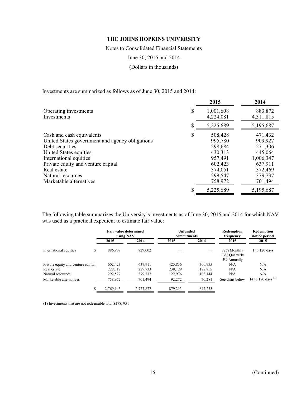Notes to Consolidated Financial Statements

June 30, 2015 and 2014

(Dollars in thousands)

Investments are summarized as follows as of June 30, 2015 and 2014:

|                                                                                                                                                                                                                                                          |   | 2015                                                                                            | 2014                                                                                              |
|----------------------------------------------------------------------------------------------------------------------------------------------------------------------------------------------------------------------------------------------------------|---|-------------------------------------------------------------------------------------------------|---------------------------------------------------------------------------------------------------|
| Operating investments<br>Investments                                                                                                                                                                                                                     | S | 1,001,608<br>4,224,081                                                                          | 883,872<br>4,311,815                                                                              |
|                                                                                                                                                                                                                                                          |   | 5,225,689                                                                                       | 5,195,687                                                                                         |
| Cash and cash equivalents<br>United States government and agency obligations<br>Debt securities<br>United States equities<br>International equities<br>Private equity and venture capital<br>Real estate<br>Natural resources<br>Marketable alternatives | S | 508,428<br>995,780<br>298,684<br>430,313<br>957,491<br>602,423<br>374,051<br>299,547<br>758,972 | 471,432<br>909,927<br>271,306<br>445,064<br>1,006,347<br>637,911<br>372,469<br>379,737<br>701,494 |
|                                                                                                                                                                                                                                                          |   | 5,225,689                                                                                       | 5,195,687                                                                                         |

The following table summarizes the University's investments as of June 30, 2015 and 2014 for which NAV was used as a practical expedient to estimate fair value:

|                                    |   | <b>Fair value determined</b><br>using NAV |           | Unfunded<br>commitments |         | Redemption<br>frequency                     |                               |  | Redemption<br>notice period |
|------------------------------------|---|-------------------------------------------|-----------|-------------------------|---------|---------------------------------------------|-------------------------------|--|-----------------------------|
|                                    |   | 2015                                      | 2014      | 2015                    | 2014    | 2015                                        | 2015                          |  |                             |
| International equities             | S | 886.909                                   | 829,002   |                         |         | 82% Monthly<br>13% Quarterly<br>5% Annually | $1$ to $120$ days             |  |                             |
| Private equity and venture capital |   | 602.423                                   | 637,911   | 425,836                 | 300.955 | N/A                                         | N/A                           |  |                             |
| Real estate                        |   | 228,312                                   | 229,733   | 238.129                 | 172,855 | N/A                                         | N/A                           |  |                             |
| Natural resources                  |   | 292,527                                   | 379,737   | 122,976                 | 103.144 | N/A                                         | N/A                           |  |                             |
| Marketable alternatives            |   | 758,972                                   | 701,494   | 92,272                  | 70,281  | See chart below                             | 14 to 180 days <sup>(1)</sup> |  |                             |
|                                    | S | 2,769,143                                 | 2,777,877 | 879,213                 | 647,235 |                                             |                               |  |                             |

(1) Investments that are not redeemable total \$178, 951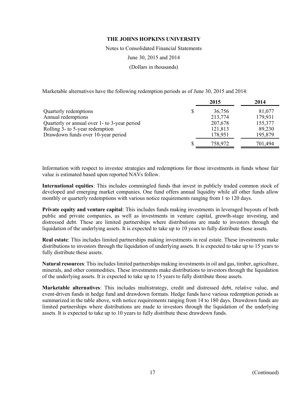Notes to Consolidated Financial Statements

June 30, 2015 and 2014

(Dollars in thousands)

Marketable alternatives have the following redemption periods as of June 30, 2015 and 2014:

|                                              | 2015         | 2014    |
|----------------------------------------------|--------------|---------|
| Quarterly redemptions                        | \$<br>36,756 | 81,077  |
| Annual redemptions                           | 213,774      | 179,931 |
| Quarterly or annual over 1- to 3-year period | 207,678      | 155,377 |
| Rolling 3- to 5-year redemption              | 121,813      | 89,230  |
| Drawdown funds over 10-year period           | 178,951      | 195,879 |
|                                              | 758,972      | 701,494 |
|                                              |              |         |

Information with respect to investee strategies and redemptions for those investments in funds whose fair value is estimated based upon reported NAVs follow.

**International equities**: This includes commingled funds that invest in publicly traded common stock of developed and emerging market companies. One fund offers annual liquidity while all other funds allow monthly or quarterly redemptions with various notice requirements ranging from 1 to 120 days.

**Private equity and venture capital**: This includes funds making investments in leveraged buyouts of both public and private companies, as well as investments in venture capital, growth-stage investing, and distressed debt. These are limited partnerships where distributions are made to investors through the liquidation of the underlying assets. It is expected to take up to 10 years to fully distribute those assets.

**Real estate**: This includes limited partnerships making investments in real estate. These investments make distributions to investors through the liquidation of underlying assets. It is expected to take up to 15 years to fully distribute these assets.

**Natural resources**: This includes limited partnerships making investments in oil and gas, timber, agriculture, minerals, and other commodities. These investments make distributions to investors through the liquidation of the underlying assets. It is expected to take up to 15 years to fully distribute those assets.

**Marketable alternatives**: This includes multistrategy, credit and distressed debt, relative value, and event-driven funds in hedge fund and drawdown formats. Hedge funds have various redemption periods as summarized in the table above, with notice requirements ranging from 14 to 180 days. Drawdown funds are limited partnerships where distributions are made to investors through the liquidation of the underlying assets. It is expected to take up to 10 years to fully distribute these drawdown funds.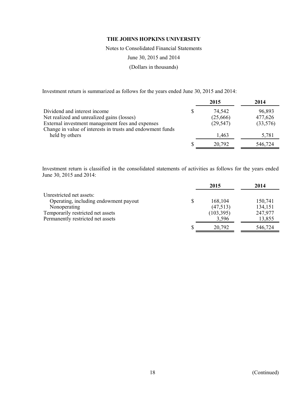Notes to Consolidated Financial Statements

June 30, 2015 and 2014

(Dollars in thousands)

Investment return is summarized as follows for the years ended June 30, 2015 and 2014:

|                                                            |   | 2015      | 2014     |
|------------------------------------------------------------|---|-----------|----------|
| Dividend and interest income                               | S | 74,542    | 96,893   |
| Net realized and unrealized gains (losses)                 |   | (25,666)  | 477,626  |
| External investment management fees and expenses           |   | (29, 547) | (33,576) |
| Change in value of interests in trusts and endowment funds |   |           |          |
| held by others                                             |   | 1.463     | 5,781    |
|                                                            |   | 20,792    | 546,724  |

Investment return is classified in the consolidated statements of activities as follows for the years ended June 30, 2015 and 2014:

|                                       | 2015       | 2014    |
|---------------------------------------|------------|---------|
| Unrestricted net assets:              |            |         |
| Operating, including endowment payout | 168,104    | 150,741 |
| Nonoperating                          | (47,513)   | 134,151 |
| Temporarily restricted net assets     | (103, 395) | 247,977 |
| Permanently restricted net assets     | 3,596      | 13,855  |
|                                       | 20,792     | 546,724 |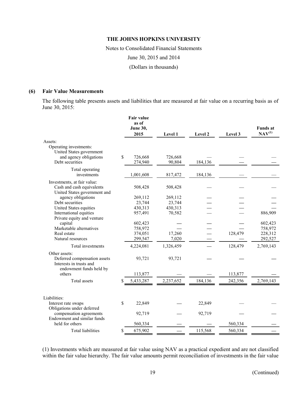Notes to Consolidated Financial Statements

June 30, 2015 and 2014

(Dollars in thousands)

### **(6) Fair Value Measurements**

The following table presents assets and liabilities that are measured at fair value on a recurring basis as of June 30, 2015:

|                                                                                                      |    | <b>Fair value</b><br>as of<br><b>June 30,</b><br>2015 | Level 1                                | Level 2 | Level 3 | <b>Funds at</b><br>$\mathbf{NAV}^{(1)}$  |
|------------------------------------------------------------------------------------------------------|----|-------------------------------------------------------|----------------------------------------|---------|---------|------------------------------------------|
| Assets:                                                                                              |    |                                                       |                                        |         |         |                                          |
| Operating investments:<br>United States government<br>and agency obligations<br>Debt securities      | \$ | 726,668<br>274,940                                    | 726,668<br>90,804                      | 184,136 |         |                                          |
| Total operating<br>investments                                                                       |    | 1,001,608                                             | 817,472                                | 184,136 |         |                                          |
| Investments, at fair value:<br>Cash and cash equivalents<br>United States government and             |    | 508,428                                               | 508,428                                |         |         |                                          |
| agency obligations<br>Debt securities<br>United States equities<br>International equities            |    | 269,112<br>23,744<br>430,313<br>957,491               | 269,112<br>23,744<br>430,313<br>70,582 |         |         | 886,909                                  |
| Private equity and venture<br>capital<br>Marketable alternatives<br>Real estate<br>Natural resources |    | 602,423<br>758,972<br>374,051<br>299,547              | 17,260<br>7,020                        |         | 128,479 | 602,423<br>758,972<br>228,312<br>292,527 |
| Total investments                                                                                    |    | 4,224,081                                             | 1,326,459                              |         | 128,479 | 2,769,143                                |
| Other assets:<br>Deferred compensation assets<br>Interests in trusts and<br>endowment funds held by  |    | 93,721                                                | 93,721                                 |         |         |                                          |
| others                                                                                               |    | 113,877                                               |                                        |         | 113,877 |                                          |
| Total assets                                                                                         | S  | 5,433,287                                             | 2,237,652                              | 184,136 | 242,356 | 2,769,143                                |
| Liabilities:                                                                                         |    |                                                       |                                        |         |         |                                          |
| Interest rate swaps<br>Obligations under deferred                                                    | \$ | 22,849                                                |                                        | 22,849  |         |                                          |
| compensation agreements<br>Endowment and similar funds                                               |    | 92,719                                                |                                        | 92,719  |         |                                          |
| held for others                                                                                      |    | 560,334                                               |                                        |         | 560,334 |                                          |
| <b>Total liabilities</b>                                                                             | \$ | 675,902                                               |                                        | 115,568 | 560,334 |                                          |

(1) Investments which are measured at fair value using NAV as a practical expedient and are not classified within the fair value hierarchy. The fair value amounts permit reconciliation of investments in the fair value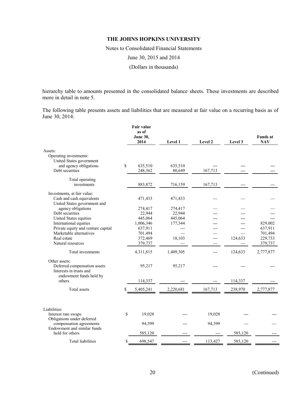Notes to Consolidated Financial Statements

June 30, 2015 and 2014

(Dollars in thousands)

hierarchy table to amounts presented in the consolidated balance sheets. These investments are described more in detail in note 5.

The following table presents assets and liabilities that are measured at fair value on a recurring basis as of June 30, 2014:

|                                    | <b>Fair value</b><br>as of<br><b>June 30,</b><br>2014 | Level 1   | Level 2 | Level 3 | <b>Funds at</b><br><b>NAV</b> |
|------------------------------------|-------------------------------------------------------|-----------|---------|---------|-------------------------------|
| Assets:                            |                                                       |           |         |         |                               |
| Operating investments:             |                                                       |           |         |         |                               |
| United States government           |                                                       |           |         |         |                               |
| and agency obligations             | \$<br>635,510                                         | 635,510   |         |         |                               |
| Debt securities                    | 248,362                                               | 80,649    | 167,713 |         |                               |
| Total operating                    |                                                       |           |         |         |                               |
| investments                        | 883,872                                               | 716,159   | 167,713 |         |                               |
| Investments, at fair value:        |                                                       |           |         |         |                               |
| Cash and cash equivalents          | 471,433                                               | 471,433   |         |         |                               |
| United States government and       |                                                       |           |         |         |                               |
| agency obligations                 | 274,417                                               | 274,417   |         |         |                               |
| Debt securities                    | 22,944                                                | 22,944    |         |         |                               |
| United States equities             | 445,064                                               | 445,064   |         |         |                               |
| International equities             | 1,006,346                                             | 177,344   |         |         | 829,002                       |
| Private equity and venture capital | 637,911                                               |           |         |         | 637,911                       |
| Marketable alternatives            | 701,494                                               |           |         |         | 701,494                       |
| Real estate                        | 372,469                                               | 18,103    |         | 124,633 | 229,733                       |
| Natural resources                  | 379,737                                               |           |         |         | 379,737                       |
| Total investments                  | 4,311,815                                             | 1,409,305 |         | 124,633 | 2,777,877                     |
| Other assets:                      |                                                       |           |         |         |                               |
| Deferred compensation assets       | 95,217                                                | 95,217    |         |         |                               |
| Interests in trusts and            |                                                       |           |         |         |                               |
| endowment funds held by            |                                                       |           |         |         |                               |
| others                             | 114,337                                               |           |         | 114,337 |                               |
| Total assets                       | \$<br>5,405,241                                       | 2,220,681 | 167,713 | 238,970 | 2,777,877                     |
| Liabilities:                       |                                                       |           |         |         |                               |
| Interest rate swaps                | \$<br>19,028                                          |           | 19,028  |         |                               |
| Obligations under deferred         |                                                       |           |         |         |                               |
| compensation agreements            | 94,399                                                |           | 94,399  |         |                               |
| Endowment and similar funds        |                                                       |           |         |         |                               |
| held for others                    | 585,120                                               |           |         | 585,120 |                               |
| <b>Total liabilities</b>           | \$<br>698,547                                         |           | 113,427 | 585,120 |                               |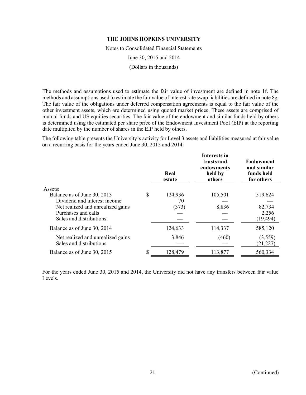Notes to Consolidated Financial Statements

June 30, 2015 and 2014

(Dollars in thousands)

The methods and assumptions used to estimate the fair value of investment are defined in note 1f. The methods and assumptions used to estimate the fair value of interest rate swap liabilities are defined in note 8g. The fair value of the obligations under deferred compensation agreements is equal to the fair value of the other investment assets, which are determined using quoted market prices. These assets are comprised of mutual funds and US equities securities. The fair value of the endowment and similar funds held by others is determined using the estimated per share price of the Endowment Investment Pool (EIP) at the reporting date multiplied by the number of shares in the EIP held by others.

The following table presents the University's activity for Level 3 assets and liabilities measured at fair value on a recurring basis for the years ended June 30, 2015 and 2014:

| Interests in<br>trusts and<br><b>Endowment</b><br>and similar<br>endowments<br>held by<br>funds held<br>Real<br>for others<br>others<br>estate |
|------------------------------------------------------------------------------------------------------------------------------------------------|
|                                                                                                                                                |
| \$<br>124,936<br>105,501<br>519,624                                                                                                            |
| 70                                                                                                                                             |
| 82,734<br>2,256                                                                                                                                |
| (19,494)                                                                                                                                       |
| 114,337<br>124,633<br>585,120                                                                                                                  |
| 3,846<br>(460)<br>Net realized and unrealized gains<br>(3,559)                                                                                 |
| (21, 227)                                                                                                                                      |
| S<br>560,334<br>128,479<br>113,877                                                                                                             |
| Dividend and interest income<br>8,836<br>Net realized and unrealized gains<br>(373)                                                            |

For the years ended June 30, 2015 and 2014, the University did not have any transfers between fair value Levels.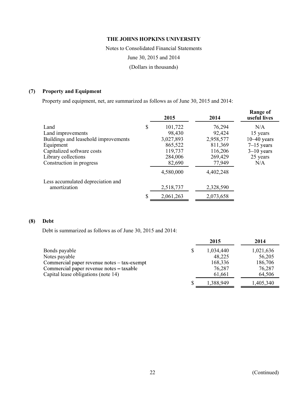Notes to Consolidated Financial Statements

June 30, 2015 and 2014

(Dollars in thousands)

# **(7) Property and Equipment**

Property and equipment, net, are summarized as follows as of June 30, 2015 and 2014:

|                                      |   | 2015      | 2014      | Range of<br>useful lives |
|--------------------------------------|---|-----------|-----------|--------------------------|
| Land                                 | S | 101,722   | 76,294    | N/A                      |
| Land improvements                    |   | 98,430    | 92,424    | 15 years                 |
| Buildings and leasehold improvements |   | 3,027,893 | 2,958,577 | $10-40$ years            |
| Equipment                            |   | 865,522   | 811,369   | $7-15$ years             |
| Capitalized software costs           |   | 119,737   | 116,206   | $3-10$ years             |
| Library collections                  |   | 284,006   | 269,429   | 25 years                 |
| Construction in progress             |   | 82,690    | 77,949    | N/A                      |
|                                      |   | 4,580,000 | 4,402,248 |                          |
| Less accumulated depreciation and    |   |           |           |                          |
| amortization                         |   | 2,518,737 | 2,328,590 |                          |
|                                      |   | 2,061,263 | 2,073,658 |                          |

# **(8) Debt**

Debt is summarized as follows as of June 30, 2015 and 2014:

|                                             | 2015      | 2014      |
|---------------------------------------------|-----------|-----------|
| Bonds payable                               | 1,034,440 | 1,021,636 |
| Notes payable                               | 48,225    | 56,205    |
| Commercial paper revenue notes – tax-exempt | 168,336   | 186,706   |
| Commercial paper revenue notes – taxable    | 76,287    | 76,287    |
| Capital lease obligations (note 14)         | 61,661    | 64,506    |
|                                             | 1,388,949 | 1,405,340 |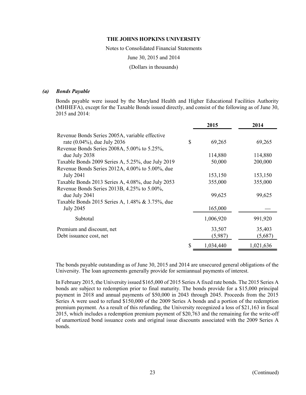Notes to Consolidated Financial Statements

June 30, 2015 and 2014

(Dollars in thousands)

#### *(a) Bonds Payable*

Bonds payable were issued by the Maryland Health and Higher Educational Facilities Authority (MHHEFA), except for the Taxable Bonds issued directly, and consist of the following as of June 30, 2015 and 2014:

|                                                                                   |   | 2015      | 2014      |
|-----------------------------------------------------------------------------------|---|-----------|-----------|
| Revenue Bonds Series 2005A, variable effective<br>rate $(0.04\%)$ , due July 2036 | S | 69,265    | 69,265    |
| Revenue Bonds Series 2008A, 5.00% to 5.25%,                                       |   |           |           |
| due July 2038                                                                     |   | 114,880   | 114,880   |
| Taxable Bonds 2009 Series A, 5.25%, due July 2019                                 |   | 50,000    | 200,000   |
| Revenue Bonds Series 2012A, 4.00% to 5.00%, due                                   |   |           |           |
| <b>July 2041</b>                                                                  |   | 153,150   | 153,150   |
| Taxable Bonds 2013 Series A, 4.08%, due July 2053                                 |   | 355,000   | 355,000   |
| Revenue Bonds Series 2013B, 4.25% to 5.00%,<br>due July 2041                      |   | 99,625    | 99,625    |
| Taxable Bonds 2015 Series A, 1.48% & 3.75%, due<br><b>July 2045</b>               |   | 165,000   |           |
| Subtotal                                                                          |   | 1,006,920 | 991,920   |
| Premium and discount, net                                                         |   | 33,507    | 35,403    |
| Debt issuance cost, net                                                           |   | (5,987)   | (5,687)   |
|                                                                                   |   | 1,034,440 | 1,021,636 |

The bonds payable outstanding as of June 30, 2015 and 2014 are unsecured general obligations of the University. The loan agreements generally provide for semiannual payments of interest.

In February 2015, the University issued \$165,000 of 2015 Series A fixed rate bonds. The 2015 Series A bonds are subject to redemption prior to final maturity. The bonds provide for a \$15,000 principal payment in 2018 and annual payments of \$50,000 in 2043 through 2045. Proceeds from the 2015 Series A were used to refund \$150,000 of the 2009 Series A bonds and a portion of the redemption premium payment. As a result of this refunding, the University recognized a loss of \$21,163 in fiscal 2015, which includes a redemption premium payment of \$20,763 and the remaining for the write-off of unamortized bond issuance costs and original issue discounts associated with the 2009 Series A bonds.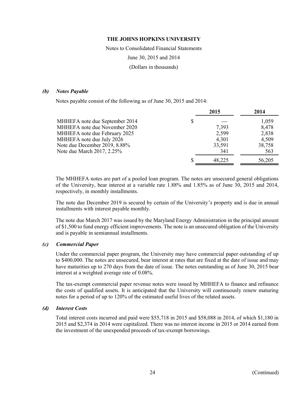Notes to Consolidated Financial Statements

June 30, 2015 and 2014

(Dollars in thousands)

#### *(b) Notes Payable*

Notes payable consist of the following as of June 30, 2015 and 2014:

|                                | 2015   | 2014   |
|--------------------------------|--------|--------|
| MHHEFA note due September 2014 | \$     | 1,059  |
| MHHEFA note due November 2020  | 7,393  | 8,478  |
| MHHEFA note due February 2025  | 2,599  | 2,838  |
| MHHEFA note due July 2026      | 4,301  | 4,509  |
| Note due December 2019, 8.88%  | 33,591 | 38,758 |
| Note due March 2017, 2.25%     | 341    | 563    |
|                                | 48,225 | 56,205 |
|                                |        |        |

The MHHEFA notes are part of a pooled loan program. The notes are unsecured general obligations of the University, bear interest at a variable rate 1.88% and 1.85% as of June 30, 2015 and 2014, respectively, in monthly installments.

The note due December 2019 is secured by certain of the University's property and is due in annual installments with interest payable monthly.

The note due March 2017 was issued by the Maryland Energy Administration in the principal amount of \$1,500 to fund energy efficient improvements. The note is an unsecured obligation of the University and is payable in semiannual installments.

#### *(c) Commercial Paper*

Under the commercial paper program, the University may have commercial paper outstanding of up to \$400,000. The notes are unsecured, bear interest at rates that are fixed at the date of issue and may have maturities up to 270 days from the date of issue. The notes outstanding as of June 30, 2015 bear interest at a weighted average rate of 0.08%.

The tax-exempt commercial paper revenue notes were issued by MHHEFA to finance and refinance the costs of qualified assets. It is anticipated that the University will continuously renew maturing notes for a period of up to 120% of the estimated useful lives of the related assets.

#### *(d) Interest Costs*

Total interest costs incurred and paid were \$55,718 in 2015 and \$58,088 in 2014, of which \$1,180 in 2015 and \$2,374 in 2014 were capitalized. There was no interest income in 2015 or 2014 earned from the investment of the unexpended proceeds of tax-exempt borrowings.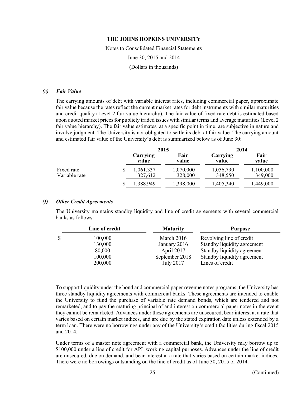Notes to Consolidated Financial Statements June 30, 2015 and 2014

(Dollars in thousands)

#### *(e) Fair Value*

The carrying amounts of debt with variable interest rates, including commercial paper, approximate fair value because the rates reflect the current market rates for debt instruments with similar maturities and credit quality (Level 2 fair value hierarchy). The fair value of fixed rate debt is estimated based upon quoted market prices for publicly traded issues with similar terms and average maturities (Level 2 fair value hierarchy). The fair value estimates, at a specific point in time, are subjective in nature and involve judgment. The University is not obligated to settle its debt at fair value. The carrying amount and estimated fair value of the University's debt is summarized below as of June 30:

|                             | 2015                       |                      | 2014                 |                      |
|-----------------------------|----------------------------|----------------------|----------------------|----------------------|
|                             | Carrying<br>value          | Fair<br>value        | Carrying<br>value    | Fair<br>value        |
| Fixed rate<br>Variable rate | \$<br>1,061,337<br>327,612 | 1,070,000<br>328,000 | 1,056,790<br>348,550 | 1,100,000<br>349,000 |
|                             | \$<br>1,388,949            | 1,398,000            | 1,405,340            | 1,449,000            |

#### *(f) Other Credit Agreements*

The University maintains standby liquidity and line of credit agreements with several commercial banks as follows:

| Line of credit | <b>Maturity</b> | <b>Purpose</b>              |
|----------------|-----------------|-----------------------------|
| 100,000        | March 2016      | Revolving line of credit    |
| 130,000        | January 2016    | Standby liquidity agreement |
| 80,000         | April 2017      | Standby liquidity agreement |
| 100,000        | September 2018  | Standby liquidity agreement |
| 200,000        | July 2017       | Lines of credit             |

To support liquidity under the bond and commercial paper revenue notes programs, the University has three standby liquidity agreements with commercial banks. These agreements are intended to enable the University to fund the purchase of variable rate demand bonds, which are tendered and not remarketed, and to pay the maturing principal of and interest on commercial paper notes in the event they cannot be remarketed. Advances under these agreements are unsecured, bear interest at a rate that varies based on certain market indices, and are due by the stated expiration date unless extended by a term loan. There were no borrowings under any of the University's credit facilities during fiscal 2015 and 2014.

Under terms of a master note agreement with a commercial bank, the University may borrow up to \$100,000 under a line of credit for APL working capital purposes. Advances under the line of credit are unsecured, due on demand, and bear interest at a rate that varies based on certain market indices. There were no borrowings outstanding on the line of credit as of June 30, 2015 or 2014.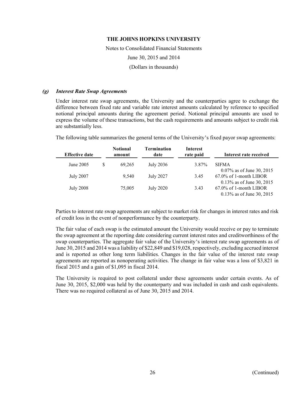Notes to Consolidated Financial Statements June 30, 2015 and 2014 (Dollars in thousands)

#### *(g) Interest Rate Swap Agreements*

Under interest rate swap agreements, the University and the counterparties agree to exchange the difference between fixed rate and variable rate interest amounts calculated by reference to specified notional principal amounts during the agreement period. Notional principal amounts are used to express the volume of these transactions, but the cash requirements and amounts subject to credit risk are substantially less.

The following table summarizes the general terms of the University's fixed payor swap agreements:

| <b>Effective date</b> |     | <b>Notional</b><br>amount | <b>Termination</b><br>date | <b>Interest</b><br>rate paid | Interest rate received                                    |
|-----------------------|-----|---------------------------|----------------------------|------------------------------|-----------------------------------------------------------|
| June 2005             | \$. | 69.265                    | July 2036                  | 3.87%                        | <b>SIFMA</b>                                              |
|                       |     |                           |                            |                              | $0.07\%$ as of June 30, 2015                              |
| July 2007             |     | 9,540                     | July 2027                  | 3.45                         | $67.0\%$ of 1-month LIBOR<br>$0.13\%$ as of June 30, 2015 |
| <b>July 2008</b>      |     | 75,005                    | July 2020                  | 3.43                         | $67.0\%$ of 1-month LIBOR                                 |
|                       |     |                           |                            |                              | $0.13\%$ as of June 30, 2015                              |

Parties to interest rate swap agreements are subject to market risk for changes in interest rates and risk of credit loss in the event of nonperformance by the counterparty.

The fair value of each swap is the estimated amount the University would receive or pay to terminate the swap agreement at the reporting date considering current interest rates and creditworthiness of the swap counterparties. The aggregate fair value of the University's interest rate swap agreements as of June 30, 2015 and 2014 was a liability of \$22,849 and \$19,028, respectively, excluding accrued interest and is reported as other long term liabilities. Changes in the fair value of the interest rate swap agreements are reported as nonoperating activities. The change in fair value was a loss of \$3,821 in fiscal 2015 and a gain of \$1,095 in fiscal 2014.

The University is required to post collateral under these agreements under certain events. As of June 30, 2015, \$2,000 was held by the counterparty and was included in cash and cash equivalents. There was no required collateral as of June 30, 2015 and 2014.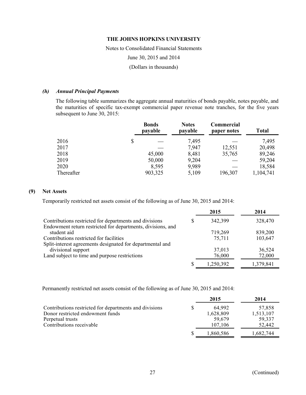Notes to Consolidated Financial Statements

June 30, 2015 and 2014

(Dollars in thousands)

### *(h) Annual Principal Payments*

The following table summarizes the aggregate annual maturities of bonds payable, notes payable, and the maturities of specific tax-exempt commercial paper revenue note tranches, for the five years subsequent to June 30, 2015:

|            | <b>Bonds</b><br>payable | <b>Notes</b><br>payable | <b>Commercial</b><br>paper notes | <b>Total</b> |
|------------|-------------------------|-------------------------|----------------------------------|--------------|
| 2016       | \$                      | 7,495                   |                                  | 7,495        |
| 2017       |                         | 7.947                   | 12,551                           | 20,498       |
| 2018       | 45,000                  | 8,481                   | 35,765                           | 89,246       |
| 2019       | 50,000                  | 9,204                   |                                  | 59,204       |
| 2020       | 8,595                   | 9,989                   |                                  | 18,584       |
| Thereafter | 903,325                 | 5,109                   | 196,307                          | 1,104,741    |

#### **(9) Net Assets**

Temporarily restricted net assets consist of the following as of June 30, 2015 and 2014:

|                                                                                                                       | 2015      | 2014      |
|-----------------------------------------------------------------------------------------------------------------------|-----------|-----------|
| Contributions restricted for departments and divisions<br>Endowment return restricted for departments, divisions, and | 342,399   | 328,470   |
| student aid                                                                                                           | 719,269   | 839,200   |
| Contributions restricted for facilities                                                                               | 75,711    | 103,647   |
| Split-interest agreements designated for departmental and                                                             |           |           |
| divisional support                                                                                                    | 37,013    | 36,524    |
| Land subject to time and purpose restrictions                                                                         | 76,000    | 72,000    |
|                                                                                                                       | 1,250,392 | 1,379,841 |

Permanently restricted net assets consist of the following as of June 30, 2015 and 2014:

|                                                        | 2015      | 2014      |
|--------------------------------------------------------|-----------|-----------|
| Contributions restricted for departments and divisions | 64.992    | 57,858    |
| Donor restricted endowment funds                       | 1,628,809 | 1,513,107 |
| Perpetual trusts                                       | 59,679    | 59,337    |
| Contributions receivable                               | 107,106   | 52,442    |
|                                                        | 1,860,586 | 1,682,744 |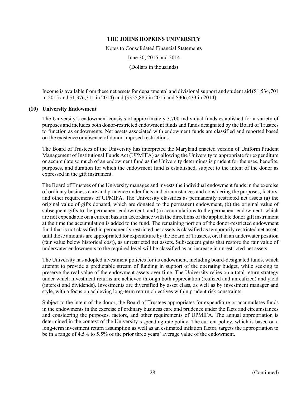Notes to Consolidated Financial Statements June 30, 2015 and 2014 (Dollars in thousands)

Income is available from these net assets for departmental and divisional support and student aid (\$1,534,701 in 2015 and \$1,376,311 in 2014) and (\$325,885 in 2015 and \$306,433 in 2014).

### **(10) University Endowment**

The University's endowment consists of approximately 3,700 individual funds established for a variety of purposes and includes both donor-restricted endowment funds and funds designated by the Board of Trustees to function as endowments. Net assets associated with endowment funds are classified and reported based on the existence or absence of donor-imposed restrictions.

The Board of Trustees of the University has interpreted the Maryland enacted version of Uniform Prudent Management of Institutional Funds Act (UPMIFA) as allowing the University to appropriate for expenditure or accumulate so much of an endowment fund as the University determines is prudent for the uses, benefits, purposes, and duration for which the endowment fund is established, subject to the intent of the donor as expressed in the gift instrument.

The Board of Trustees of the University manages and invests the individual endowment funds in the exercise of ordinary business care and prudence under facts and circumstances and considering the purposes, factors, and other requirements of UPMIFA. The University classifies as permanently restricted net assets (a) the original value of gifts donated, which are donated to the permanent endowment, (b) the original value of subsequent gifts to the permanent endowment, and (c) accumulations to the permanent endowment, which are not expendable on a current basis in accordance with the directions of the applicable donor gift instrument at the time the accumulation is added to the fund. The remaining portion of the donor-restricted endowment fund that is not classified in permanently restricted net assets is classified as temporarily restricted net assets until those amounts are appropriated for expenditure by the Board of Trustees, or, if in an underwater position (fair value below historical cost), as unrestricted net assets. Subsequent gains that restore the fair value of underwater endowments to the required level will be classified as an increase in unrestricted net assets.

The University has adopted investment policies for its endowment, including board-designated funds, which attempt to provide a predictable stream of funding in support of the operating budget, while seeking to preserve the real value of the endowment assets over time. The University relies on a total return strategy under which investment returns are achieved through both appreciation (realized and unrealized) and yield (interest and dividends). Investments are diversified by asset class, as well as by investment manager and style, with a focus on achieving long-term return objectives within prudent risk constraints.

Subject to the intent of the donor, the Board of Trustees appropriates for expenditure or accumulates funds in the endowments in the exercise of ordinary business care and prudence under the facts and circumstances and considering the purposes, factors, and other requirements of UPMIFA. The annual appropriation is determined in the context of the University's spending rate policy. The current policy, which is based on a long-term investment return assumption as well as an estimated inflation factor, targets the appropriation to be in a range of 4.5% to 5.5% of the prior three years' average value of the endowment.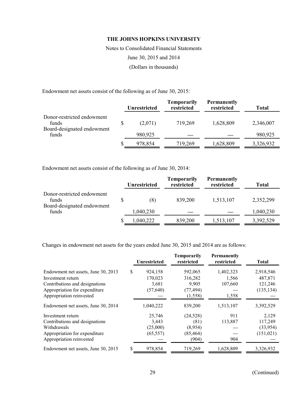Notes to Consolidated Financial Statements June 30, 2015 and 2014 (Dollars in thousands)

Endowment net assets consist of the following as of June 30, 2015:

|                                                                            | <b>Unrestricted</b> | <b>Temporarily</b><br>restricted | <b>Permanently</b><br>restricted | Total     |
|----------------------------------------------------------------------------|---------------------|----------------------------------|----------------------------------|-----------|
| Donor-restricted endowment<br>funds<br>Board-designated endowment<br>funds | (2,071)             | 719,269                          | 1,628,809                        | 2,346,007 |
|                                                                            | 980,925             |                                  |                                  | 980,925   |
|                                                                            | 978,854             | 719,269                          | 1,628,809                        | 3,326,932 |

Endowment net assets consist of the following as of June 30, 2014:

|                                                                            | <b>Unrestricted</b> | <b>Temporarily</b><br>restricted | <b>Permanently</b><br>restricted | Total     |
|----------------------------------------------------------------------------|---------------------|----------------------------------|----------------------------------|-----------|
| Donor-restricted endowment<br>funds<br>Board-designated endowment<br>funds | (8)                 | 839,200                          | 1,513,107                        | 2,352,299 |
|                                                                            | 1,040,230           |                                  |                                  | 1,040,230 |
|                                                                            | 1,040,222           | 839,200                          | 1,513,107                        | 3,392,529 |

Changes in endowment net assets for the years ended June 30, 2015 and 2014 are as follows:

|                                           | <b>Unrestricted</b> | <b>Temporarily</b><br>restricted | <b>Permanently</b><br>restricted | <b>Total</b> |
|-------------------------------------------|---------------------|----------------------------------|----------------------------------|--------------|
| S<br>Endowment net assets, June 30, 2013  | 924,158             | 592,065                          | 1,402,323                        | 2,918,546    |
| Investment return                         | 170,023             | 316,282                          | 1,566                            | 487,871      |
| Contributions and designations            | 3,681               | 9,905                            | 107,660                          | 121,246      |
| Appropriation for expenditure             | (57, 640)           | (77, 494)                        |                                  | (135, 134)   |
| Appropriation reinvested                  |                     | (1,558)                          | 1,558                            |              |
| Endowment net assets, June 30, 2014       | 1,040,222           | 839,200                          | 1,513,107                        | 3,392,529    |
| Investment return                         | 25,746              | (24, 528)                        | 911                              | 2,129        |
| Contributions and designations            | 3,443               | (81)                             | 113,887                          | 117,249      |
| Withdrawals                               | (25,000)            | (8,954)                          |                                  | (33,954)     |
| Appropriation for expenditure             | (65, 557)           | (85, 464)                        |                                  | (151, 021)   |
| Appropriation reinvested                  |                     | (904)                            | 904                              |              |
| \$<br>Endowment net assets, June 30, 2015 | 978,854             | 719,269                          | 1,628,809                        | 3,326,932    |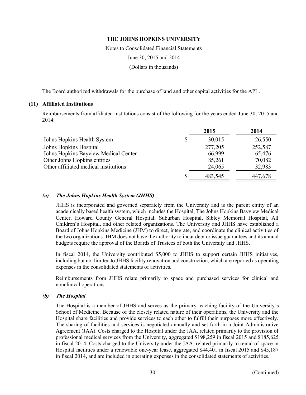Notes to Consolidated Financial Statements

June 30, 2015 and 2014

(Dollars in thousands)

The Board authorized withdrawals for the purchase of land and other capital activities for the APL.

#### **(11) Affiliated Institutions**

Reimbursements from affiliated institutions consist of the following for the years ended June 30, 2015 and 2014:

|                                       | 2015         | 2014    |
|---------------------------------------|--------------|---------|
| Johns Hopkins Health System           | \$<br>30,015 | 26,550  |
| Johns Hopkins Hospital                | 277,205      | 252,587 |
| Johns Hopkins Bayview Medical Center  | 66,999       | 65,476  |
| Other Johns Hopkins entities          | 85,261       | 70,082  |
| Other affiliated medical institutions | 24,065       | 32,983  |
|                                       | 483,545      | 447,678 |
|                                       |              |         |

#### *(a) The Johns Hopkins Health System (JHHS)*

JHHS is incorporated and governed separately from the University and is the parent entity of an academically based health system, which includes the Hospital, The Johns Hopkins Bayview Medical Center, Howard County General Hospital, Suburban Hospital, Sibley Memorial Hospital, All Children's Hospital, and other related organizations. The University and JHHS have established a Board of Johns Hopkins Medicine (JHM) to direct, integrate, and coordinate the clinical activities of the two organizations. JHM does not have the authority to incur debt or issue guarantees and its annual budgets require the approval of the Boards of Trustees of both the University and JHHS.

In fiscal 2014, the University contributed \$5,000 to JHHS to support certain JHHS initiatives, including but not limited to JHHS facility renovation and construction, which are reported as operating expenses in the consolidated statements of activities.

Reimbursements from JHHS relate primarily to space and purchased services for clinical and nonclinical operations.

#### *(b) The Hospital*

The Hospital is a member of JHHS and serves as the primary teaching facility of the University s School of Medicine. Because of the closely related nature of their operations, the University and the Hospital share facilities and provide services to each other to fulfill their purposes more effectively. The sharing of facilities and services is negotiated annually and set forth in a Joint Administrative Agreement (JAA). Costs charged to the Hospital under the JAA, related primarily to the provision of professional medical services from the University, aggregated \$198,259 in fiscal 2015 and \$185,625 in fiscal 2014. Costs charged to the University under the JAA, related primarily to rental of space in Hospital facilities under a renewable one-year lease, aggregated \$44,401 in fiscal 2015 and \$45,187 in fiscal 2014, and are included in operating expenses in the consolidated statements of activities.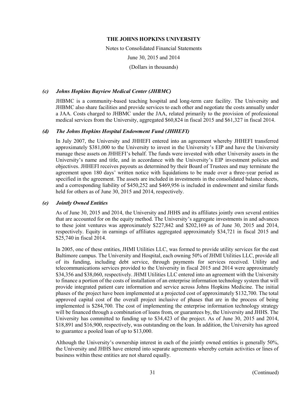Notes to Consolidated Financial Statements June 30, 2015 and 2014

(Dollars in thousands)

### *(c) Johns Hopkins Bayview Medical Center (JHBMC)*

JHBMC is a community-based teaching hospital and long-term care facility. The University and JHBMC also share facilities and provide services to each other and negotiate the costs annually under a JAA. Costs charged to JHBMC under the JAA, related primarily to the provision of professional medical services from the University, aggregated \$60,824 in fiscal 2015 and \$61,327 in fiscal 2014.

#### *(d) The Johns Hopkins Hospital Endowment Fund (JHHEFI)*

In July 2007, the University and JHHEFI entered into an agreement whereby JHHEFI transferred approximately \$381,000 to the University to invest in the University's EIP and have the University manage these assets on JHHEFI's behalf. The funds were invested with other University assets in the University's name and title, and in accordance with the University's EIP investment policies and objectives. JHHEFI receives payouts as determined by their Board of Trustees and may terminate the agreement upon 180 days' written notice with liquidations to be made over a three-year period as specified in the agreement. The assets are included in investments in the consolidated balance sheets, and a corresponding liability of \$450,252 and \$469,956 is included in endowment and similar funds held for others as of June 30, 2015 and 2014, respectively.

#### *(e) Jointly Owned Entities*

As of June 30, 2015 and 2014, the University and JHHS and its affiliates jointly own several entities that are accounted for on the equity method. The University's aggregate investments in and advances to these joint ventures was approximately \$227,842 and \$202,169 as of June 30, 2015 and 2014, respectively. Equity in earnings of affiliates aggregated approximately \$34,721 in fiscal 2015 and \$25,740 in fiscal 2014.

In 2005, one of these entities, JHMI Utilities LLC, was formed to provide utility services for the east Baltimore campus. The University and Hospital, each owning 50% of JHMI Utilities LLC, provide all of its funding, including debt service, through payments for services received. Utility and telecommunications services provided to the University in fiscal 2015 and 2014 were approximately \$34,356 and \$38,060, respectively. JHMI Utilities LLC entered into an agreement with the University to finance a portion of the costs of installation of an enterprise information technology system that will provide integrated patient care information and service across Johns Hopkins Medicine. The initial phases of the project have been implemented at a projected cost of approximately \$132,700. The total approved capital cost of the overall project inclusive of phases that are in the process of being implemented is \$284,700. The cost of implementing the enterprise information technology strategy will be financed through a combination of loans from, or guarantees by, the University and JHHS. The University has committed to funding up to \$34,423 of the project. As of June 30, 2015 and 2014, \$18,891 and \$16,900, respectively, was outstanding on the loan. In addition, the University has agreed to guarantee a pooled loan of up to \$13,000.

Although the University's ownership interest in each of the jointly owned entities is generally 50%, the University and JHHS have entered into separate agreements whereby certain activities or lines of business within these entities are not shared equally.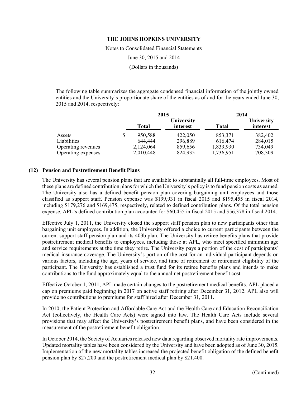Notes to Consolidated Financial Statements

June 30, 2015 and 2014

(Dollars in thousands)

The following table summarizes the aggregate condensed financial information of the jointly owned entities and the University's proportionate share of the entities as of and for the years ended June 30, 2015 and 2014, respectively:

|                    |               | 2015                   | 2014      |                               |  |
|--------------------|---------------|------------------------|-----------|-------------------------------|--|
|                    | <b>Total</b>  | University<br>interest | Total     | <b>University</b><br>interest |  |
| Assets             | \$<br>950,588 | 422,050                | 853,371   | 382,402                       |  |
| Liabilities        | 644,444       | 296,889                | 616,474   | 284,015                       |  |
| Operating revenues | 2,124,064     | 859,656                | 1,839,930 | 734,049                       |  |
| Operating expenses | 2,010,448     | 824,935                | 1,736,951 | 708,309                       |  |

#### **(12) Pension and Postretirement Benefit Plans**

The University has several pension plans that are available to substantially all full-time employees. Most of these plans are defined contribution plans for which the University's policy is to fund pension costs as earned. The University also has a defined benefit pension plan covering bargaining unit employees and those classified as support staff. Pension expense was \$199,931 in fiscal 2015 and \$195,455 in fiscal 2014, including \$179,276 and \$169,475, respectively, related to defined contribution plans. Of the total pension expense, APL's defined contribution plan accounted for \$60,455 in fiscal 2015 and \$56,378 in fiscal 2014.

Effective July 1, 2011, the University closed the support staff pension plan to new participants other than bargaining unit employees. In addition, the University offered a choice to current participants between the current support staff pension plan and its 403b plan. The University has retiree benefits plans that provide postretirement medical benefits to employees, including those at APL, who meet specified minimum age and service requirements at the time they retire. The University pays a portion of the cost of participants' medical insurance coverage. The University's portion of the cost for an individual participant depends on various factors, including the age, years of service, and time of retirement or retirement eligibility of the participant. The University has established a trust fund for its retiree benefits plans and intends to make contributions to the fund approximately equal to the annual net postretirement benefit cost.

Effective October 1, 2011, APL made certain changes to the postretirement medical benefits. APL placed a cap on premiums paid beginning in 2017 on active staff retiring after December 31, 2012. APL also will provide no contributions to premiums for staff hired after December 31, 2011.

In 2010, the Patient Protection and Affordable Care Act and the Health Care and Education Reconciliation Act (collectively, the Health Care Acts) were signed into law. The Health Care Acts include several provisions that may affect the University's postretirement benefit plans, and have been considered in the measurement of the postretirement benefit obligation.

In October 2014, the Society of Actuaries released new data regarding observed mortality rate improvements. Updated mortality tables have been considered by the University and have been adopted as of June 30, 2015. Implementation of the new mortality tables increased the projected benefit obligation of the defined benefit pension plan by \$27,200 and the postretirement medical plan by \$21,400.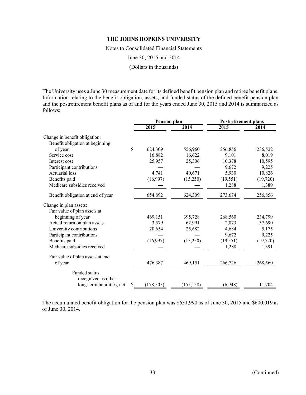Notes to Consolidated Financial Statements

June 30, 2015 and 2014

(Dollars in thousands)

The University uses a June 30 measurement date for its defined benefit pension plan and retiree benefit plans. Information relating to the benefit obligation, assets, and funded status of the defined benefit pension plan and the postretirement benefit plans as of and for the years ended June 30, 2015 and 2014 is summarized as follows:

|                                   |    | Pension plan  |            | <b>Postretirement plans</b> |          |  |
|-----------------------------------|----|---------------|------------|-----------------------------|----------|--|
|                                   |    | $\sqrt{2015}$ | 2014       | $\sqrt{2015}$               | 2014     |  |
| Change in benefit obligation:     |    |               |            |                             |          |  |
| Benefit obligation at beginning   |    |               |            |                             |          |  |
| of year                           | \$ | 624,309       | 556,960    | 256,856                     | 236,522  |  |
| Service cost                      |    | 16,882        | 16,622     | 9,101                       | 8,019    |  |
| Interest cost                     |    | 25,957        | 25,306     | 10,378                      | 10,595   |  |
| Participant contributions         |    |               |            | 9,672                       | 9,225    |  |
| <b>Actuarial</b> loss             |    | 4,741         | 40,671     | 5,930                       | 10,826   |  |
| Benefits paid                     |    | (16,997)      | (15,250)   | (19, 551)                   | (19,720) |  |
| Medicare subsidies received       |    |               |            | 1,288                       | 1,389    |  |
| Benefit obligation at end of year |    | 654,892       | 624,309    | 273,674                     | 256,856  |  |
| Change in plan assets:            |    |               |            |                             |          |  |
| Fair value of plan assets at      |    |               |            |                             |          |  |
| beginning of year                 |    | 469,151       | 395,728    | 268,560                     | 234,799  |  |
| Actual return on plan assets      |    | 3,579         | 62,991     | 2,073                       | 37,690   |  |
| University contributions          |    | 20,654        | 25,682     | 4,684                       | 5,175    |  |
| Participant contributions         |    |               |            | 9,672                       | 9,225    |  |
| Benefits paid                     |    | (16,997)      | (15,250)   | (19, 551)                   | (19,720) |  |
| Medicare subsidies received       |    |               |            | 1,288                       | 1,391    |  |
| Fair value of plan assets at end  |    |               |            |                             |          |  |
| of year                           |    | 476,387       | 469,151    | 266,726                     | 268,560  |  |
| Funded status                     |    |               |            |                             |          |  |
| recognized as other               |    |               |            |                             |          |  |
| long-term liabilities, net        | S  | (178, 505)    | (155, 158) | (6,948)                     | 11,704   |  |

The accumulated benefit obligation for the pension plan was \$631,990 as of June 30, 2015 and \$600,019 as of June 30, 2014.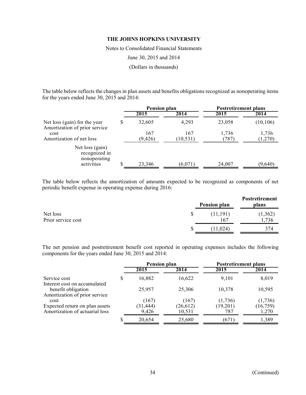Notes to Consolidated Financial Statements

June 30, 2015 and 2014

(Dollars in thousands)

The table below reflects the changes in plan assets and benefits obligations recognized as nonoperating items for the years ended June 30, 2015 and 2014:

|                                                                |   | <b>Pension plan</b> |                  | <b>Postretirement plans</b> |                  |  |
|----------------------------------------------------------------|---|---------------------|------------------|-----------------------------|------------------|--|
|                                                                |   | 2015                | 2014             | 2015                        | 2014             |  |
| Net loss (gain) for the year<br>Amortization of prior service  | S | 32,605              | 4,293            | 23,058                      | (10, 106)        |  |
| cost<br>Amortization of net loss                               |   | 167<br>(9, 426)     | 167<br>(10, 531) | 1,736<br>(787)              | 1,736<br>(1,270) |  |
| Net loss (gain)<br>recognized in<br>nonoperating<br>activities |   | 23,346              | (6,071)          | 24,007                      | (9,640)          |  |

The table below reflects the amortization of amounts expected to be recognized as components of net periodic benefit expense in operating expense during 2016:

|                                | <b>Pension plan</b> | Postretirement<br>plans |                 |
|--------------------------------|---------------------|-------------------------|-----------------|
| Net loss<br>Prior service cost | \$                  | (11, 191)<br>167        | (1, 362)<br>736 |
|                                | ጦ                   | 11,024                  | 374             |

The net pension and postretirement benefit cost reported in operating expenses includes the following components for the years ended June 30, 2015 and 2014:

|                                                                                     |   | <b>Pension plan</b>         |                              | <b>Postretirement plans</b> |                               |  |
|-------------------------------------------------------------------------------------|---|-----------------------------|------------------------------|-----------------------------|-------------------------------|--|
|                                                                                     |   | 2015                        | 2014                         | 2015                        | 2014                          |  |
| Service cost                                                                        | S | 16,882                      | 16,622                       | 9,101                       | 8,019                         |  |
| Interest cost on accumulated<br>benefit obligation<br>Amortization of prior service |   | 25,957                      | 25,306                       | 10,378                      | 10,595                        |  |
| cost<br>Expected return on plan assets<br>Amortization of actuarial loss            |   | (167)<br>(31, 444)<br>9,426 | (167)<br>(26, 612)<br>10,531 | (1,736)<br>(19,201)<br>787  | (1,736)<br>(16, 759)<br>1,270 |  |
|                                                                                     |   | 20,654                      | 25,680                       | (671)                       | 1,389                         |  |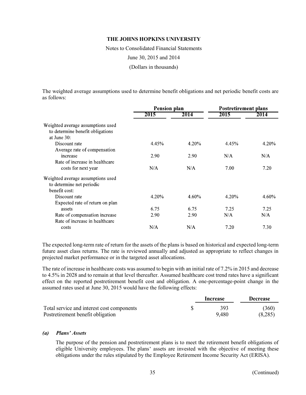Notes to Consolidated Financial Statements

June 30, 2015 and 2014

(Dollars in thousands)

The weighted average assumptions used to determine benefit obligations and net periodic benefit costs are as follows:

|                                                                                        | <b>Pension plan</b> |          | <b>Postretirement plans</b> |          |
|----------------------------------------------------------------------------------------|---------------------|----------|-----------------------------|----------|
|                                                                                        | 2015                | 2014     | 2015                        | 2014     |
| Weighted average assumptions used<br>to determine benefit obligations<br>at June $30:$ |                     |          |                             |          |
| Discount rate<br>Average rate of compensation                                          | 4.45%               | 4.20%    | 4.45%                       | $4.20\%$ |
| increase                                                                               | 2.90                | 2.90     | N/A                         | N/A      |
| Rate of increase in healthcare                                                         |                     |          |                             |          |
| costs for next year                                                                    | N/A                 | N/A      | 7.00                        | 7.20     |
| Weighted average assumptions used<br>to determine net periodic<br>benefit cost:        |                     |          |                             |          |
| Discount rate                                                                          | 4.20%               | $4.60\%$ | 4.20%                       | $4.60\%$ |
| Expected rate of return on plan                                                        |                     |          |                             |          |
| assets                                                                                 | 6.75                | 6.75     | 7.25                        | 7.25     |
| Rate of compensation increase                                                          | 2.90                | 2.90     | N/A                         | N/A      |
| Rate of increase in healthcare                                                         |                     |          |                             |          |
| costs                                                                                  | N/A                 | N/A      | 7.20                        | 7.30     |

The expected long-term rate of return for the assets of the plans is based on historical and expected long-term future asset class returns. The rate is reviewed annually and adjusted as appropriate to reflect changes in projected market performance or in the targeted asset allocations.

The rate of increase in healthcare costs was assumed to begin with an initial rate of 7.2% in 2015 and decrease to 4.5% in 2028 and to remain at that level thereafter. Assumed healthcare cost trend rates have a significant effect on the reported postretirement benefit cost and obligation. A one-percentage-point change in the assumed rates used at June 30, 2015 would have the following effects:

|                                            | Increase |       | <b>Decrease</b> |  |
|--------------------------------------------|----------|-------|-----------------|--|
| Total service and interest cost components |          | 393   | (360)           |  |
| Postretirement benefit obligation          |          | 9,480 | (8,285)         |  |

#### *(a) Plans Assets*

The purpose of the pension and postretirement plans is to meet the retirement benefit obligations of eligible University employees. The plans' assets are invested with the objective of meeting these obligations under the rules stipulated by the Employee Retirement Income Security Act (ERISA).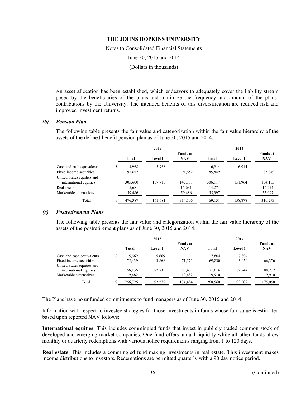Notes to Consolidated Financial Statements

June 30, 2015 and 2014

(Dollars in thousands)

An asset allocation has been established, which endeavors to adequately cover the liability stream posed by the beneficiaries of the plans and minimize the frequency and amount of the plans contributions by the University. The intended benefits of this diversification are reduced risk and improved investment returns.

# *(b) Pension Plan*

The following table presents the fair value and categorization within the fair value hierarchy of the assets of the defined benefit pension plan as of June 30, 2015 and 2014:

|                            |   | 2015    |                |                 | 2014         |                |                 |  |
|----------------------------|---|---------|----------------|-----------------|--------------|----------------|-----------------|--|
|                            |   |         |                | <b>Funds at</b> |              |                | <b>Funds at</b> |  |
|                            |   | Total   | <b>Level 1</b> | <b>NAV</b>      | <b>Total</b> | <b>Level 1</b> | <b>NAV</b>      |  |
| Cash and cash equivalents  | S | 3.968   | 3,968          |                 | 6,914        | 6,914          |                 |  |
| Fixed income securities    |   | 91,652  |                | 91,652          | 85,849       |                | 85,849          |  |
| United States equities and |   |         |                |                 |              |                |                 |  |
| international equities     |   | 305,600 | 157,713        | 147,887         | 306,117      | 151.964        | 154,153         |  |
| Real assets                |   | 15,681  |                | 15,681          | 14,274       |                | 14,274          |  |
| Marketable alternatives    |   | 59,486  |                | 59.486          | 55,997       |                | 55,997          |  |
| Total                      |   | 476,387 | 161,681        | 314,706         | 469,151      | 158,878        | 310,273         |  |

# *(c) Postretirement Plans*

The following table presents the fair value and categorization within the fair value hierarchy of the assets of the postretirement plans as of June 30, 2015 and 2014:

|                                                                                    | 2015              |                |                               | 2014              |                |                               |  |
|------------------------------------------------------------------------------------|-------------------|----------------|-------------------------------|-------------------|----------------|-------------------------------|--|
|                                                                                    | Total             | <b>Level 1</b> | <b>Funds at</b><br><b>NAV</b> | Total             | <b>Level 1</b> | <b>Funds at</b><br><b>NAV</b> |  |
| Cash and cash equivalents<br>Fixed income securities<br>United States equities and | 5.669<br>75.439   | 5,669<br>3,868 | 71.571                        | 7.804<br>69.830   | 7,804<br>3.454 | 66,376                        |  |
| international equities<br>Marketable alternatives                                  | 166,136<br>19,482 | 82,735         | 83,401<br>19,482              | 171,016<br>19,910 | 82.244         | 88,772<br>19,910              |  |
| Total                                                                              | 266,726           | 92,272         | 174,454                       | 268,560           | 93,502         | 175,058                       |  |

The Plans have no unfunded commitments to fund managers as of June 30, 2015 and 2014.

Information with respect to investee strategies for those investments in funds whose fair value is estimated based upon reported NAV follows:

**International equities**: This includes commingled funds that invest in publicly traded common stock of developed and emerging market companies. One fund offers annual liquidity while all other funds allow monthly or quarterly redemptions with various notice requirements ranging from 1 to 120 days.

**Real estate**: This includes a commingled fund making investments in real estate. This investment makes income distributions to investors. Redemptions are permitted quarterly with a 90 day notice period.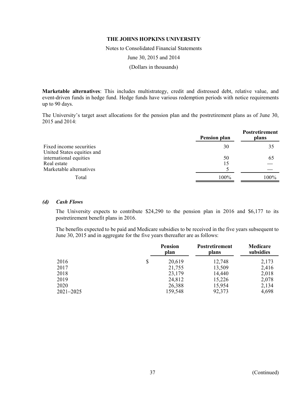Notes to Consolidated Financial Statements

June 30, 2015 and 2014

(Dollars in thousands)

**Marketable alternatives**: This includes multistrategy, credit and distressed debt, relative value, and event-driven funds in hedge fund. Hedge funds have various redemption periods with notice requirements up to 90 days.

The University's target asset allocations for the pension plan and the postretirement plans as of June 30, 2015 and 2014:

| <b>Pension plan</b> | <b>Postretirement</b><br>plans |
|---------------------|--------------------------------|
| 30                  | 35                             |
| 50                  | 65                             |
| 15                  |                                |
|                     |                                |
| 100%                | 100%                           |
|                     |                                |

#### *(d) Cash Flows*

The University expects to contribute \$24,290 to the pension plan in 2016 and \$6,177 to its postretirement benefit plans in 2016.

The benefits expected to be paid and Medicare subsidies to be received in the five years subsequent to June 30, 2015 and in aggregate for the five years thereafter are as follows:

|               | <b>Pension</b><br>plan | <b>Postretirement</b><br>plans | <b>Medicare</b><br>subsidies |
|---------------|------------------------|--------------------------------|------------------------------|
| 2016          | \$<br>20,619           | 12,748                         | 2,173                        |
| 2017          | 21,755                 | 13,509                         | 2,416                        |
| 2018          | 23,179                 | 14,440                         | 2,018                        |
| 2019          | 24,812                 | 15,226                         | 2,078                        |
| 2020          | 26,388                 | 15,954                         | 2,134                        |
| $2021 - 2025$ | 159,548                | 92,373                         | 4,698                        |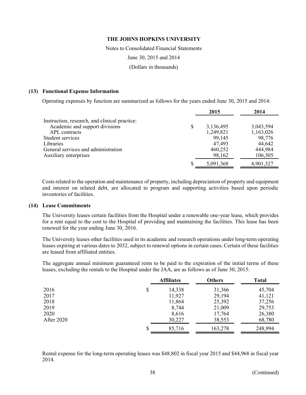Notes to Consolidated Financial Statements

June 30, 2015 and 2014

(Dollars in thousands)

#### **(13) Functional Expense Information**

Operating expenses by function are summarized as follows for the years ended June 30, 2015 and 2014:

|                                               | 2015            | 2014      |
|-----------------------------------------------|-----------------|-----------|
| Instruction, research, and clinical practice: |                 |           |
| Academic and support divisions                | \$<br>3,136,495 | 3,043,594 |
| APL contracts                                 | 1,249,821       | 1,163,026 |
| Student services                              | 99,145          | 98,776    |
| Libraries                                     | 47,493          | 44,642    |
| General services and administration           | 460,252         | 444,984   |
| Auxiliary enterprises                         | 98,162          | 106,305   |
|                                               | 5,091,368       | 4,901,327 |

Costs related to the operation and maintenance of property, including depreciation of property and equipment and interest on related debt, are allocated to program and supporting activities based upon periodic inventories of facilities.

# **(14) Lease Commitments**

The University leases certain facilities from the Hospital under a renewable one-year lease, which provides for a rent equal to the cost to the Hospital of providing and maintaining the facilities. This lease has been renewed for the year ending June 30, 2016.

The University leases other facilities used in its academic and research operations under long-term operating leases expiring at various dates to 2032, subject to renewal options in certain cases. Certain of these facilities are leased from affiliated entities.

The aggregate annual minimum guaranteed rents to be paid to the expiration of the initial terms of these leases, excluding the rentals to the Hospital under the JAA, are as follows as of June 30, 2015:

| <b>Affiliates</b> |        | <b>Others</b> | <b>Total</b> |  |
|-------------------|--------|---------------|--------------|--|
| \$                | 14,338 | 31,366        | 45,704       |  |
|                   | 11,927 | 29,194        | 41,121       |  |
|                   | 11,864 | 25,392        | 37,256       |  |
|                   | 8,744  | 21,009        | 29,753       |  |
|                   | 8,616  | 17,764        | 26,380       |  |
|                   | 30,227 | 38,553        | 68,780       |  |
| S                 | 85,716 | 163,278       | 248,994      |  |
|                   |        |               |              |  |

Rental expense for the long-term operating leases was \$48,802 in fiscal year 2015 and \$44,968 in fiscal year 2014.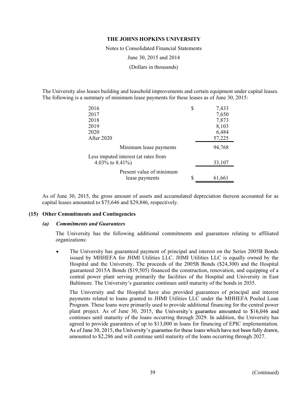Notes to Consolidated Financial Statements

June 30, 2015 and 2014

(Dollars in thousands)

The University also leases building and leasehold improvements and certain equipment under capital leases. The following is a summary of minimum lease payments for these leases as of June 30, 2015:

| 2016                                 | S  | 7,433  |
|--------------------------------------|----|--------|
| 2017                                 |    | 7,650  |
| 2018                                 |    | 7,873  |
| 2019                                 |    | 8,103  |
| 2020                                 |    | 6,484  |
| <b>After 2020</b>                    |    | 57,225 |
| Minimum lease payments               |    | 94,768 |
| Less imputed interest (at rates from |    |        |
| 4.03% to $8.41\%$ )                  |    | 33,107 |
| Present value of minimum             |    |        |
| lease payments                       | \$ | 61,661 |

As of June 30, 2015, the gross amount of assets and accumulated depreciation thereon accounted for as capital leases amounted to \$75,646 and \$29,846, respectively.

# **(15) Other Commitments and Contingencies**

#### *(a) Commitments and Guarantees*

The University has the following additional commitments and guarantees relating to affiliated organizations:

The University has guaranteed payment of principal and interest on the Series 2005B Bonds issued by MHHEFA for JHMI Utilities LLC. JHMI Utilities LLC is equally owned by the Hospital and the University. The proceeds of the 2005B Bonds (\$24,300) and the Hospital guaranteed 2015A Bonds (\$19,505) financed the construction, renovation, and equipping of a central power plant serving primarily the facilities of the Hospital and University in East Baltimore. The University's guarantee continues until maturity of the bonds in 2035.

The University and the Hospital have also provided guarantees of principal and interest payments related to loans granted to JHMI Utilities LLC under the MHHEFA Pooled Loan Program. These loans were primarily used to provide additional financing for the central power plant project. As of June 30, 2015, the University's guarantee amounted to \$16,046 and continues until maturity of the loans occurring through 2029. In addition, the University has agreed to provide guarantees of up to \$13,000 in loans for financing of EPIC implementation. As of June 30, 2015, the University's guarantee for these loans which have not been fully drawn, amounted to \$2,286 and will continue until maturity of the loans occurring through 2027.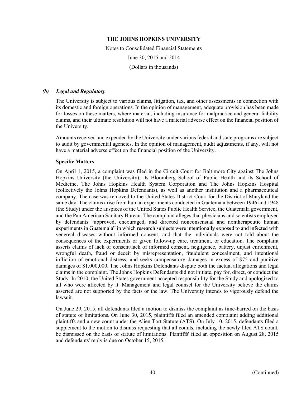Notes to Consolidated Financial Statements June 30, 2015 and 2014 (Dollars in thousands)

#### *(b) Legal and Regulatory*

The University is subject to various claims, litigation, tax, and other assessments in connection with its domestic and foreign operations. In the opinion of management, adequate provision has been made for losses on these matters, where material, including insurance for malpractice and general liability claims, and their ultimate resolution will not have a material adverse effect on the financial position of the University.

Amounts received and expended by the University under various federal and state programs are subject to audit by governmental agencies. In the opinion of management, audit adjustments, if any, will not have a material adverse effect on the financial position of the University.

### **Specific Matters**

On April 1, 2015, a complaint was filed in the Circuit Court for Baltimore City against The Johns Hopkins University (the University), its Bloomberg School of Public Health and its School of Medicine, The Johns Hopkins Health System Corporation and The Johns Hopkins Hospital (collectively the Johns Hopkins Defendants), as well as another institution and a pharmaceutical company. The case was removed to the United States District Court for the District of Maryland the same day. The claims arise from human experiments conducted in Guatemala between 1946 and 1948 (the Study) under the auspices of the United States Public Health Service, the Guatemala government, and the Pan American Sanitary Bureau. The complaint alleges that physicians and scientists employed by defendants "approved, encouraged, and directed nonconsensual and nontherapeutic human experiments in Guatemala" in which research subjects were intentionally exposed to and infected with venereal diseases without informed consent, and that the individuals were not told about the consequences of the experiments or given follow-up care, treatment, or education. The complaint asserts claims of lack of consent/lack of informed consent, negligence, battery, unjust enrichment, wrongful death, fraud or deceit by misrepresentation, fraudulent concealment, and intentional infliction of emotional distress, and seeks compensatory damages in excess of \$75 and punitive damages of \$1,000,000. The Johns Hopkins Defendants dispute both the factual allegations and legal claims in the complaint. The Johns Hopkins Defendants did not initiate, pay for, direct, or conduct the Study. In 2010, the United States government accepted responsibility for the Study and apologized to all who were affected by it. Management and legal counsel for the University believe the claims asserted are not supported by the facts or the law. The University intends to vigorously defend the lawsuit.

On June 29, 2015, all defendants filed a motion to dismiss the complaint as time-barred on the basis of statute of limitations. On June 30, 2015, plaintiffs filed an amended complaint adding additional plaintiffs and a new count under the Alien Tort Statute (ATS). On July 10, 2015, defendants filed a supplement to the motion to dismiss requesting that all counts, including the newly filed ATS count, be dismissed on the basis of statute of limitations. Plantiffs' filed an opposition on August 28, 2015 and defendants' reply is due on October 15, 2015.